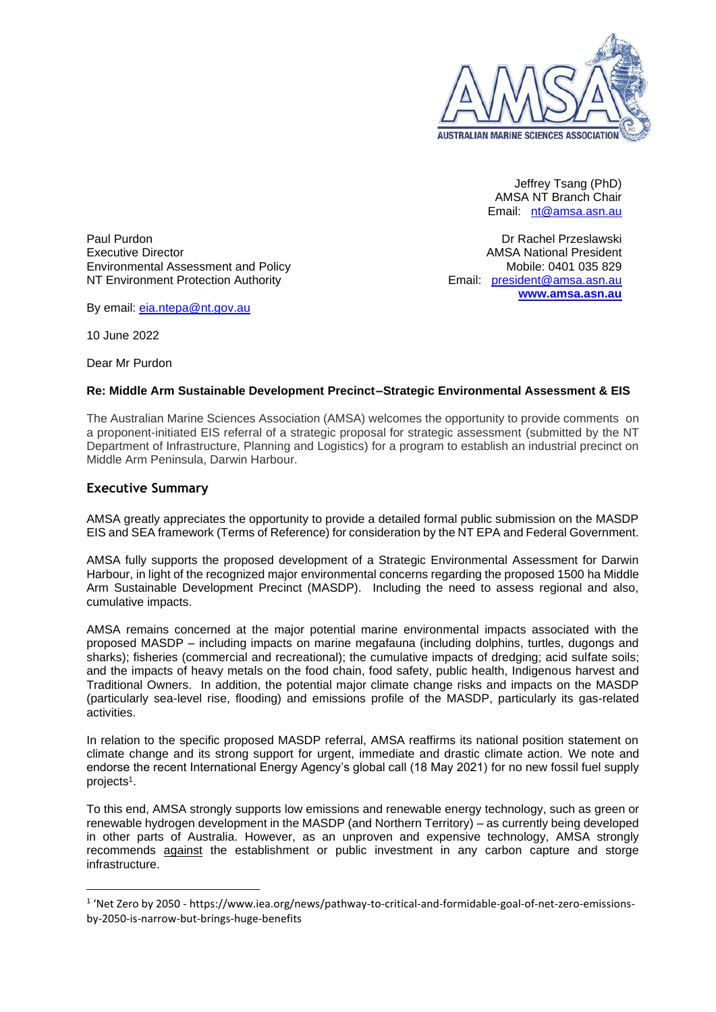

Jeffrey Tsang (PhD) AMSA NT Branch Chair Email: [nt@amsa.asn.au](mailto:nt@amsa.asn.au)

Dr Rachel Przeslawski AMSA National President Mobile: 0401 035 829 Email: [president@amsa.asn.au](mailto:president@amsa.asn.au) **[www.amsa.asn.au](http://www.amsa.asn.au/)**

Paul Purdon Executive Director Environmental Assessment and Policy NT Environment Protection Authority

By email: [eia.ntepa@nt.gov.au](mailto:eia.ntepa@nt.gov.au)

10 June 2022

Dear Mr Purdon

### **Re: Middle Arm Sustainable Development Precinct–Strategic Environmental Assessment & EIS**

The Australian Marine Sciences Association (AMSA) welcomes the opportunity to provide comments on a proponent-initiated EIS referral of a strategic proposal for strategic assessment (submitted by the NT Department of Infrastructure, Planning and Logistics) for a program to establish an industrial precinct on Middle Arm Peninsula, Darwin Harbour.

### **Executive Summary**

AMSA greatly appreciates the opportunity to provide a detailed formal public submission on the MASDP EIS and SEA framework (Terms of Reference) for consideration by the NT EPA and Federal Government.

AMSA fully supports the proposed development of a Strategic Environmental Assessment for Darwin Harbour, in light of the recognized major environmental concerns regarding the proposed 1500 ha Middle Arm Sustainable Development Precinct (MASDP). Including the need to assess regional and also, cumulative impacts.

AMSA remains concerned at the major potential marine environmental impacts associated with the proposed MASDP – including impacts on marine megafauna (including dolphins, turtles, dugongs and sharks); fisheries (commercial and recreational); the cumulative impacts of dredging; acid sulfate soils; and the impacts of heavy metals on the food chain, food safety, public health, Indigenous harvest and Traditional Owners. In addition, the potential major climate change risks and impacts on the MASDP (particularly sea-level rise, flooding) and emissions profile of the MASDP, particularly its gas-related activities.

In relation to the specific proposed MASDP referral, AMSA reaffirms its national position statement on climate change and its strong support for urgent, immediate and drastic climate action. We note and endorse the recent International Energy Agency's global call (18 May 2021) for no new fossil fuel supply projects<sup>1</sup>.

To this end, AMSA strongly supports low emissions and renewable energy technology, such as green or renewable hydrogen development in the MASDP (and Northern Territory) – as currently being developed in other parts of Australia. However, as an unproven and expensive technology, AMSA strongly recommends against the establishment or public investment in any carbon capture and storge infrastructure.

<sup>1</sup> 'Net Zero by 2050 - https://www.iea.org/news/pathway-to-critical-and-formidable-goal-of-net-zero-emissionsby-2050-is-narrow-but-brings-huge-benefits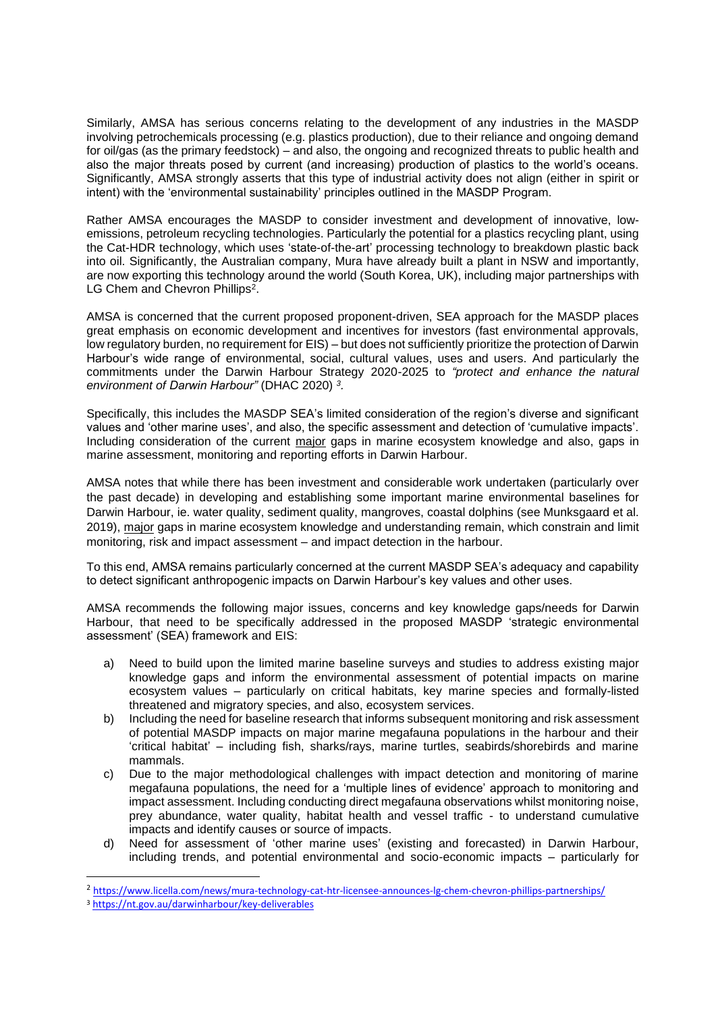Similarly, AMSA has serious concerns relating to the development of any industries in the MASDP involving petrochemicals processing (e.g. plastics production), due to their reliance and ongoing demand for oil/gas (as the primary feedstock) – and also, the ongoing and recognized threats to public health and also the major threats posed by current (and increasing) production of plastics to the world's oceans. Significantly, AMSA strongly asserts that this type of industrial activity does not align (either in spirit or intent) with the 'environmental sustainability' principles outlined in the MASDP Program.

Rather AMSA encourages the MASDP to consider investment and development of innovative, lowemissions, petroleum recycling technologies. Particularly the potential for a plastics recycling plant, using the Cat-HDR technology, which uses 'state-of-the-art' processing technology to breakdown plastic back into oil. Significantly, the Australian company, Mura have already built a plant in NSW and importantly, are now exporting this technology around the world (South Korea, UK), including major partnerships with LG Chem and Chevron Phillips<sup>2</sup>.

AMSA is concerned that the current proposed proponent-driven, SEA approach for the MASDP places great emphasis on economic development and incentives for investors (fast environmental approvals, low regulatory burden, no requirement for EIS) – but does not sufficiently prioritize the protection of Darwin Harbour's wide range of environmental, social, cultural values, uses and users. And particularly the commitments under the Darwin Harbour Strategy 2020-2025 to *"protect and enhance the natural environment of Darwin Harbour"* (DHAC 2020) *<sup>3</sup> .*

Specifically, this includes the MASDP SEA's limited consideration of the region's diverse and significant values and 'other marine uses', and also, the specific assessment and detection of 'cumulative impacts'. Including consideration of the current major gaps in marine ecosystem knowledge and also, gaps in marine assessment, monitoring and reporting efforts in Darwin Harbour.

AMSA notes that while there has been investment and considerable work undertaken (particularly over the past decade) in developing and establishing some important marine environmental baselines for Darwin Harbour, ie. water quality, sediment quality, mangroves, coastal dolphins (see Munksgaard et al. 2019), major gaps in marine ecosystem knowledge and understanding remain, which constrain and limit monitoring, risk and impact assessment – and impact detection in the harbour.

To this end, AMSA remains particularly concerned at the current MASDP SEA's adequacy and capability to detect significant anthropogenic impacts on Darwin Harbour's key values and other uses.

AMSA recommends the following major issues, concerns and key knowledge gaps/needs for Darwin Harbour, that need to be specifically addressed in the proposed MASDP 'strategic environmental assessment' (SEA) framework and EIS:

- a) Need to build upon the limited marine baseline surveys and studies to address existing major knowledge gaps and inform the environmental assessment of potential impacts on marine ecosystem values – particularly on critical habitats, key marine species and formally-listed threatened and migratory species, and also, ecosystem services.
- b) Including the need for baseline research that informs subsequent monitoring and risk assessment of potential MASDP impacts on major marine megafauna populations in the harbour and their 'critical habitat' – including fish, sharks/rays, marine turtles, seabirds/shorebirds and marine mammals.
- c) Due to the major methodological challenges with impact detection and monitoring of marine megafauna populations, the need for a 'multiple lines of evidence' approach to monitoring and impact assessment. Including conducting direct megafauna observations whilst monitoring noise, prey abundance, water quality, habitat health and vessel traffic - to understand cumulative impacts and identify causes or source of impacts.
- d) Need for assessment of 'other marine uses' (existing and forecasted) in Darwin Harbour, including trends, and potential environmental and socio-economic impacts – particularly for

<sup>2</sup> [https://www.licella.com/news/mura-technology-cat-htr-licensee-announces-lg-chem-chevron-phillips-partnerships/](https://www.licella.com/news/mura-technology-cat-htr-licensee-announces-lg-chem-chevron-phillips-partnerships/?fbclid=IwAR1aiYxnM5LStApW8uqsbSI2ZyNHEe1O8D6uLgh50P54bCqwqvN-f_yOOm4) <sup>3</sup> <https://nt.gov.au/darwinharbour/key-deliverables>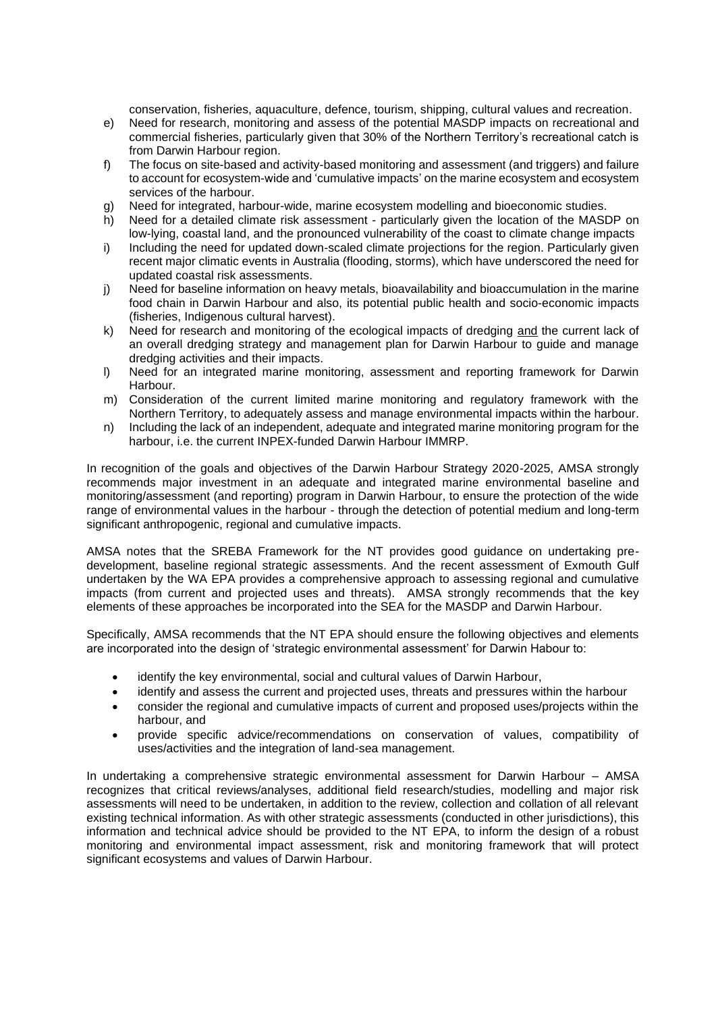conservation, fisheries, aquaculture, defence, tourism, shipping, cultural values and recreation.

- e) Need for research, monitoring and assess of the potential MASDP impacts on recreational and commercial fisheries, particularly given that 30% of the Northern Territory's recreational catch is from Darwin Harbour region.
- f) The focus on site-based and activity-based monitoring and assessment (and triggers) and failure to account for ecosystem-wide and 'cumulative impacts' on the marine ecosystem and ecosystem services of the harbour.
- g) Need for integrated, harbour-wide, marine ecosystem modelling and bioeconomic studies.
- h) Need for a detailed climate risk assessment particularly given the location of the MASDP on low-lying, coastal land, and the pronounced vulnerability of the coast to climate change impacts
- i) Including the need for updated down-scaled climate projections for the region. Particularly given recent major climatic events in Australia (flooding, storms), which have underscored the need for updated coastal risk assessments.
- j) Need for baseline information on heavy metals, bioavailability and bioaccumulation in the marine food chain in Darwin Harbour and also, its potential public health and socio-economic impacts (fisheries, Indigenous cultural harvest).
- k) Need for research and monitoring of the ecological impacts of dredging and the current lack of an overall dredging strategy and management plan for Darwin Harbour to guide and manage dredging activities and their impacts.
- l) Need for an integrated marine monitoring, assessment and reporting framework for Darwin Harbour.
- m) Consideration of the current limited marine monitoring and regulatory framework with the Northern Territory, to adequately assess and manage environmental impacts within the harbour.
- n) Including the lack of an independent, adequate and integrated marine monitoring program for the harbour, i.e. the current INPEX-funded Darwin Harbour IMMRP.

In recognition of the goals and objectives of the Darwin Harbour Strategy 2020-2025, AMSA strongly recommends major investment in an adequate and integrated marine environmental baseline and monitoring/assessment (and reporting) program in Darwin Harbour, to ensure the protection of the wide range of environmental values in the harbour - through the detection of potential medium and long-term significant anthropogenic, regional and cumulative impacts.

AMSA notes that the SREBA Framework for the NT provides good guidance on undertaking predevelopment, baseline regional strategic assessments. And the recent assessment of Exmouth Gulf undertaken by the WA EPA provides a comprehensive approach to assessing regional and cumulative impacts (from current and projected uses and threats). AMSA strongly recommends that the key elements of these approaches be incorporated into the SEA for the MASDP and Darwin Harbour.

Specifically, AMSA recommends that the NT EPA should ensure the following objectives and elements are incorporated into the design of 'strategic environmental assessment' for Darwin Habour to:

- identify the key environmental, social and cultural values of Darwin Harbour,
- identify and assess the current and projected uses, threats and pressures within the harbour
- consider the regional and cumulative impacts of current and proposed uses/projects within the harbour, and
- provide specific advice/recommendations on conservation of values, compatibility of uses/activities and the integration of land-sea management.

In undertaking a comprehensive strategic environmental assessment for Darwin Harbour – AMSA recognizes that critical reviews/analyses, additional field research/studies, modelling and major risk assessments will need to be undertaken, in addition to the review, collection and collation of all relevant existing technical information. As with other strategic assessments (conducted in other jurisdictions), this information and technical advice should be provided to the NT EPA, to inform the design of a robust monitoring and environmental impact assessment, risk and monitoring framework that will protect significant ecosystems and values of Darwin Harbour.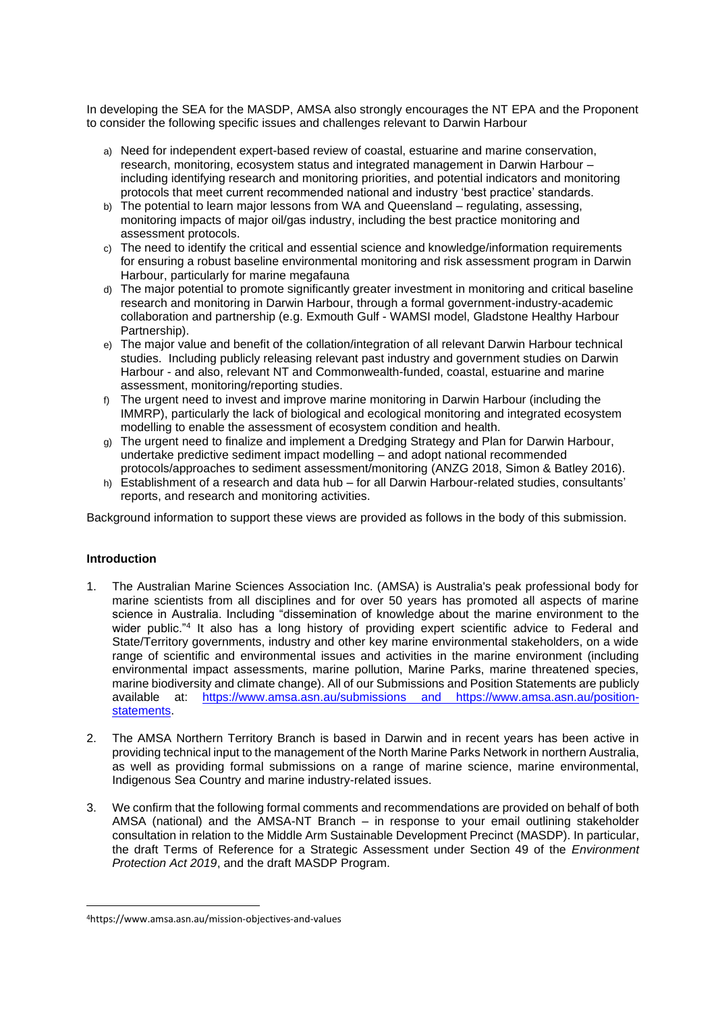In developing the SEA for the MASDP, AMSA also strongly encourages the NT EPA and the Proponent to consider the following specific issues and challenges relevant to Darwin Harbour

- a) Need for independent expert-based review of coastal, estuarine and marine conservation, research, monitoring, ecosystem status and integrated management in Darwin Harbour – including identifying research and monitoring priorities, and potential indicators and monitoring protocols that meet current recommended national and industry 'best practice' standards.
- b) The potential to learn major lessons from WA and Queensland regulating, assessing, monitoring impacts of major oil/gas industry, including the best practice monitoring and assessment protocols.
- c) The need to identify the critical and essential science and knowledge/information requirements for ensuring a robust baseline environmental monitoring and risk assessment program in Darwin Harbour, particularly for marine megafauna
- d) The major potential to promote significantly greater investment in monitoring and critical baseline research and monitoring in Darwin Harbour, through a formal government-industry-academic collaboration and partnership (e.g. Exmouth Gulf - WAMSI model, Gladstone Healthy Harbour Partnership).
- e) The major value and benefit of the collation/integration of all relevant Darwin Harbour technical studies. Including publicly releasing relevant past industry and government studies on Darwin Harbour - and also, relevant NT and Commonwealth-funded, coastal, estuarine and marine assessment, monitoring/reporting studies.
- f) The urgent need to invest and improve marine monitoring in Darwin Harbour (including the IMMRP), particularly the lack of biological and ecological monitoring and integrated ecosystem modelling to enable the assessment of ecosystem condition and health.
- g) The urgent need to finalize and implement a Dredging Strategy and Plan for Darwin Harbour, undertake predictive sediment impact modelling – and adopt national recommended protocols/approaches to sediment assessment/monitoring (ANZG 2018, Simon & Batley 2016).
- h) Establishment of a research and data hub for all Darwin Harbour-related studies, consultants' reports, and research and monitoring activities.

Background information to support these views are provided as follows in the body of this submission.

#### **Introduction**

- 1. The Australian Marine Sciences Association Inc. (AMSA) is Australia's peak professional body for marine scientists from all disciplines and for over 50 years has promoted all aspects of marine science in Australia. Including "dissemination of knowledge about the marine environment to the wider public."<sup>4</sup> It also has a long history of providing expert scientific advice to Federal and State/Territory governments, industry and other key marine environmental stakeholders, on a wide range of scientific and environmental issues and activities in the marine environment (including environmental impact assessments, marine pollution, Marine Parks, marine threatened species, marine biodiversity and climate change). All of our Submissions and Position Statements are publicly available at: <https://www.amsa.asn.au/submissions> and [https://www.amsa.asn.au/position](https://www.amsa.asn.au/position-statements)[statements.](https://www.amsa.asn.au/position-statements)
- 2. The AMSA Northern Territory Branch is based in Darwin and in recent years has been active in providing technical input to the management of the North Marine Parks Network in northern Australia, as well as providing formal submissions on a range of marine science, marine environmental, Indigenous Sea Country and marine industry-related issues.
- 3. We confirm that the following formal comments and recommendations are provided on behalf of both AMSA (national) and the AMSA-NT Branch – in response to your email outlining stakeholder consultation in relation to the Middle Arm Sustainable Development Precinct (MASDP). In particular, the draft Terms of Reference for a Strategic Assessment under Section 49 of the *Environment Protection Act 2019*, and the draft MASDP Program.

<sup>4</sup>https://www.amsa.asn.au/mission-objectives-and-values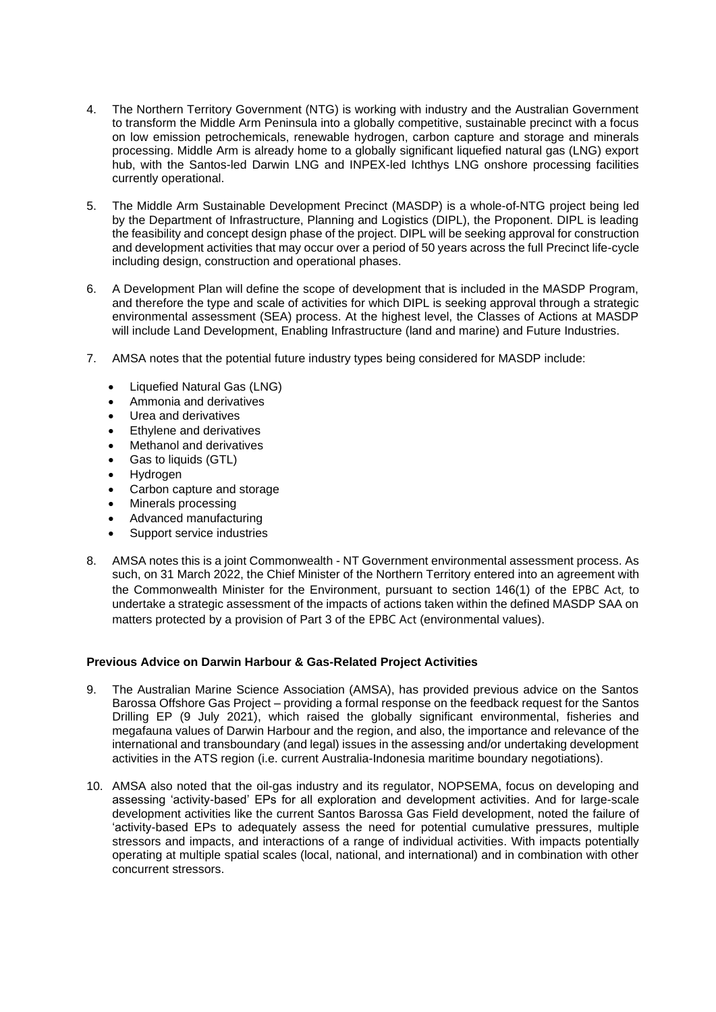- 4. The Northern Territory Government (NTG) is working with industry and the Australian Government to transform the Middle Arm Peninsula into a globally competitive, sustainable precinct with a focus on low emission petrochemicals, renewable hydrogen, carbon capture and storage and minerals processing. Middle Arm is already home to a globally significant liquefied natural gas (LNG) export hub, with the Santos-led Darwin LNG and INPEX-led Ichthys LNG onshore processing facilities currently operational.
- 5. The Middle Arm Sustainable Development Precinct (MASDP) is a whole-of-NTG project being led by the Department of Infrastructure, Planning and Logistics (DIPL), the Proponent. DIPL is leading the feasibility and concept design phase of the project. DIPL will be seeking approval for construction and development activities that may occur over a period of 50 years across the full Precinct life-cycle including design, construction and operational phases.
- 6. A Development Plan will define the scope of development that is included in the MASDP Program, and therefore the type and scale of activities for which DIPL is seeking approval through a strategic environmental assessment (SEA) process. At the highest level, the Classes of Actions at MASDP will include Land Development, Enabling Infrastructure (land and marine) and Future Industries.
- 7. AMSA notes that the potential future industry types being considered for MASDP include:
	- Liquefied Natural Gas (LNG)
	- Ammonia and derivatives
	- Urea and derivatives
	- Ethylene and derivatives
	- Methanol and derivatives
	- Gas to liquids (GTL)
	- Hydrogen
	- Carbon capture and storage
	- Minerals processing
	- Advanced manufacturing
	- Support service industries
- 8. AMSA notes this is a joint Commonwealth NT Government environmental assessment process. As such, on 31 March 2022, the Chief Minister of the Northern Territory entered into an agreement with the Commonwealth Minister for the Environment, pursuant to section 146(1) of the EPBC Act, to undertake a strategic assessment of the impacts of actions taken within the defined MASDP SAA on matters protected by a provision of Part 3 of the EPBC Act (environmental values).

### **Previous Advice on Darwin Harbour & Gas-Related Project Activities**

- 9. The Australian Marine Science Association (AMSA), has provided previous advice on the Santos Barossa Offshore Gas Project – providing a formal response on the feedback request for the Santos Drilling EP (9 July 2021), which raised the globally significant environmental, fisheries and megafauna values of Darwin Harbour and the region, and also, the importance and relevance of the international and transboundary (and legal) issues in the assessing and/or undertaking development activities in the ATS region (i.e. current Australia-Indonesia maritime boundary negotiations).
- 10. AMSA also noted that the oil-gas industry and its regulator, NOPSEMA, focus on developing and assessing 'activity-based' EPs for all exploration and development activities. And for large-scale development activities like the current Santos Barossa Gas Field development, noted the failure of 'activity-based EPs to adequately assess the need for potential cumulative pressures, multiple stressors and impacts, and interactions of a range of individual activities. With impacts potentially operating at multiple spatial scales (local, national, and international) and in combination with other concurrent stressors.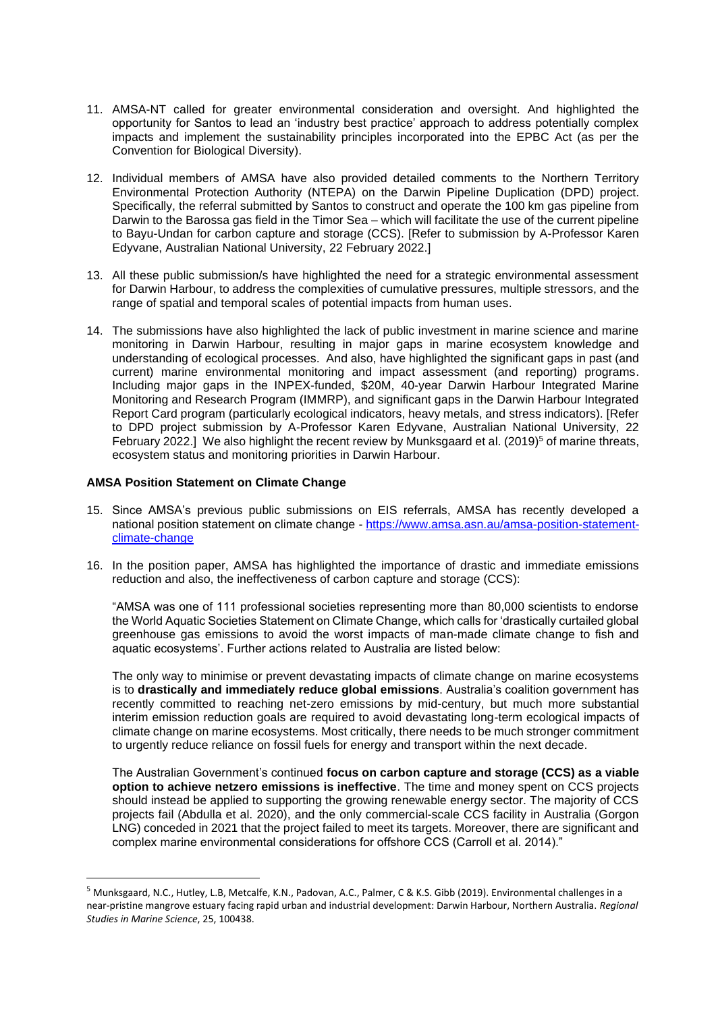- 11. AMSA-NT called for greater environmental consideration and oversight. And highlighted the opportunity for Santos to lead an 'industry best practice' approach to address potentially complex impacts and implement the sustainability principles incorporated into the EPBC Act (as per the Convention for Biological Diversity).
- 12. Individual members of AMSA have also provided detailed comments to the Northern Territory Environmental Protection Authority (NTEPA) on the Darwin Pipeline Duplication (DPD) project. Specifically, the referral submitted by Santos to construct and operate the 100 km gas pipeline from Darwin to the Barossa gas field in the Timor Sea – which will facilitate the use of the current pipeline to Bayu-Undan for carbon capture and storage (CCS). [Refer to submission by A-Professor Karen Edyvane, Australian National University, 22 February 2022.]
- 13. All these public submission/s have highlighted the need for a strategic environmental assessment for Darwin Harbour, to address the complexities of cumulative pressures, multiple stressors, and the range of spatial and temporal scales of potential impacts from human uses.
- 14. The submissions have also highlighted the lack of public investment in marine science and marine monitoring in Darwin Harbour, resulting in major gaps in marine ecosystem knowledge and understanding of ecological processes. And also, have highlighted the significant gaps in past (and current) marine environmental monitoring and impact assessment (and reporting) programs. Including major gaps in the INPEX-funded, \$20M, 40-year Darwin Harbour Integrated Marine Monitoring and Research Program (IMMRP), and significant gaps in the Darwin Harbour Integrated Report Card program (particularly ecological indicators, heavy metals, and stress indicators). [Refer to DPD project submission by A-Professor Karen Edyvane, Australian National University, 22 February 2022.] We also highlight the recent review by Munksgaard et al.  $(2019)^5$  of marine threats, ecosystem status and monitoring priorities in Darwin Harbour.

#### **AMSA Position Statement on Climate Change**

- 15. Since AMSA's previous public submissions on EIS referrals, AMSA has recently developed a national position statement on climate change - [https://www.amsa.asn.au/amsa-position-statement](https://www.amsa.asn.au/amsa-position-statement-climate-change)[climate-change](https://www.amsa.asn.au/amsa-position-statement-climate-change)
- 16. In the position paper, AMSA has highlighted the importance of drastic and immediate emissions reduction and also, the ineffectiveness of carbon capture and storage (CCS):

"AMSA was one of 111 professional societies representing more than 80,000 scientists to endorse the World Aquatic Societies Statement on Climate Change, which calls for 'drastically curtailed global greenhouse gas emissions to avoid the worst impacts of man-made climate change to fish and aquatic ecosystems'. Further actions related to Australia are listed below:

The only way to minimise or prevent devastating impacts of climate change on marine ecosystems is to **drastically and immediately reduce global emissions**. Australia's coalition government has recently committed to reaching net-zero emissions by mid-century, but much more substantial interim emission reduction goals are required to avoid devastating long-term ecological impacts of climate change on marine ecosystems. Most critically, there needs to be much stronger commitment to urgently reduce reliance on fossil fuels for energy and transport within the next decade.

The Australian Government's continued **focus on carbon capture and storage (CCS) as a viable option to achieve netzero emissions is ineffective**. The time and money spent on CCS projects should instead be applied to supporting the growing renewable energy sector. The majority of CCS projects fail (Abdulla et al. 2020), and the only commercial-scale CCS facility in Australia (Gorgon LNG) conceded in 2021 that the project failed to meet its targets. Moreover, there are significant and complex marine environmental considerations for offshore CCS (Carroll et al. 2014)."

<sup>5</sup> Munksgaard, N.C., Hutley, L.B, Metcalfe, K.N., Padovan, A.C., Palmer, C & K.S. Gibb (2019). Environmental challenges in a near-pristine mangrove estuary facing rapid urban and industrial development: Darwin Harbour, Northern Australia. *Regional Studies in Marine Science*, 25, 100438.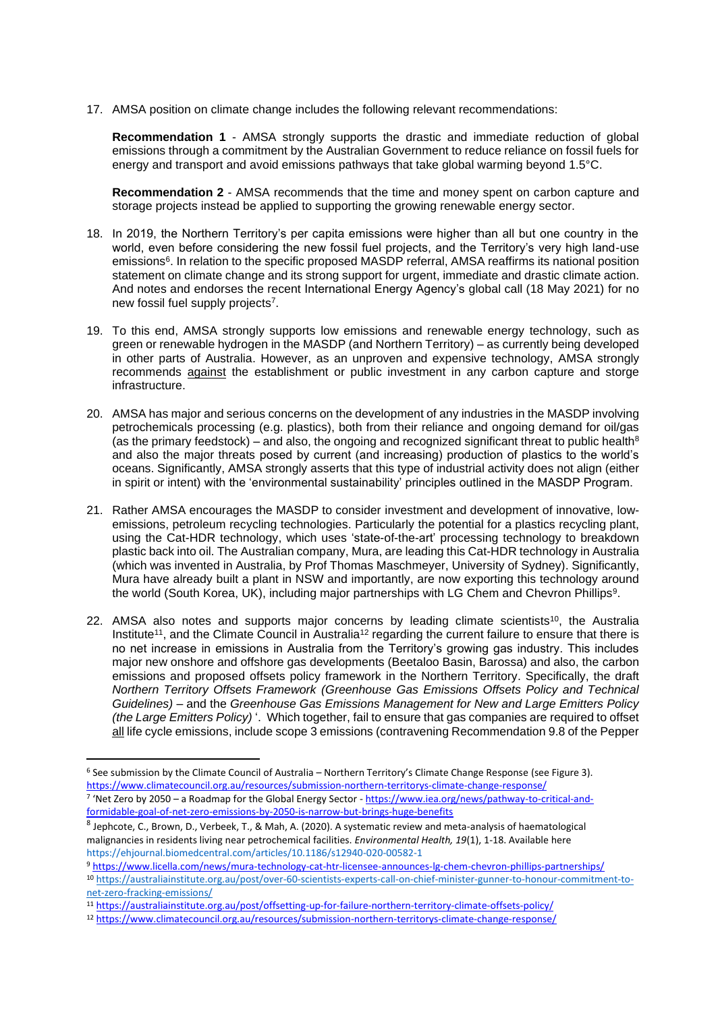17. AMSA position on climate change includes the following relevant recommendations:

**Recommendation 1** - AMSA strongly supports the drastic and immediate reduction of global emissions through a commitment by the Australian Government to reduce reliance on fossil fuels for energy and transport and avoid emissions pathways that take global warming beyond 1.5°C.

**Recommendation 2** - AMSA recommends that the time and money spent on carbon capture and storage projects instead be applied to supporting the growing renewable energy sector.

- 18. In 2019, the Northern Territory's per capita emissions were higher than all but one country in the world, even before considering the new fossil fuel projects, and the Territory's very high land-use emissions<sup>6</sup>. In relation to the specific proposed MASDP referral, AMSA reaffirms its national position statement on climate change and its strong support for urgent, immediate and drastic climate action. And notes and endorses the recent International Energy Agency's global call (18 May 2021) for no new fossil fuel supply projects<sup>7</sup>.
- 19. To this end, AMSA strongly supports low emissions and renewable energy technology, such as green or renewable hydrogen in the MASDP (and Northern Territory) – as currently being developed in other parts of Australia. However, as an unproven and expensive technology, AMSA strongly recommends against the establishment or public investment in any carbon capture and storge infrastructure.
- 20. AMSA has major and serious concerns on the development of any industries in the MASDP involving petrochemicals processing (e.g. plastics), both from their reliance and ongoing demand for oil/gas (as the primary feedstock) – and also, the ongoing and recognized significant threat to public health<sup>8</sup> and also the major threats posed by current (and increasing) production of plastics to the world's oceans. Significantly, AMSA strongly asserts that this type of industrial activity does not align (either in spirit or intent) with the 'environmental sustainability' principles outlined in the MASDP Program.
- 21. Rather AMSA encourages the MASDP to consider investment and development of innovative, lowemissions, petroleum recycling technologies. Particularly the potential for a plastics recycling plant, using the Cat-HDR technology, which uses 'state-of-the-art' processing technology to breakdown plastic back into oil. The Australian company, Mura, are leading this Cat-HDR technology in Australia (which was invented in Australia, by Prof Thomas Maschmeyer, University of Sydney). Significantly, Mura have already built a plant in NSW and importantly, are now exporting this technology around the world (South Korea, UK), including major partnerships with LG Chem and Chevron Phillips<sup>9</sup>.
- 22. AMSA also notes and supports major concerns by leading climate scientists<sup>10</sup>, the Australia Institute<sup>11</sup>, and the Climate Council in Australia<sup>12</sup> regarding the current failure to ensure that there is no net increase in emissions in Australia from the Territory's growing gas industry. This includes major new onshore and offshore gas developments (Beetaloo Basin, Barossa) and also, the carbon emissions and proposed offsets policy framework in the Northern Territory. Specifically, the draft *Northern Territory Offsets Framework (Greenhouse Gas Emissions Offsets Policy and Technical Guidelines)* – and the *Greenhouse Gas Emissions Management for New and Large Emitters Policy (the Large Emitters Policy)* '. Which together, fail to ensure that gas companies are required to offset all life cycle emissions, include scope 3 emissions (contravening Recommendation 9.8 of the Pepper

<sup>6</sup> See submission by the Climate Council of Australia – Northern Territory's Climate Change Response (see Figure 3). <https://www.climatecouncil.org.au/resources/submission-northern-territorys-climate-change-response/> <sup>7</sup> 'Net Zero by 2050 – a Roadmap for the Global Energy Sector - [https://www.iea.org/news/pathway-to-critical-and](https://www.iea.org/news/pathway-to-critical-and-formidable-goal-of-net-zero-emissions-by-2050-is-narrow-but-brings-huge-benefits)[formidable-goal-of-net-zero-emissions-by-2050-is-narrow-but-brings-huge-benefits](https://www.iea.org/news/pathway-to-critical-and-formidable-goal-of-net-zero-emissions-by-2050-is-narrow-but-brings-huge-benefits)

<sup>8</sup> Jephcote, C., Brown, D., Verbeek, T., & Mah, A. (2020). A systematic review and meta-analysis of haematological malignancies in residents living near petrochemical facilities. *Environmental Health, 19*(1), 1-18. Available here https://ehjournal.biomedcentral.com/articles/10.1186/s12940-020-00582-1

<sup>9</sup> [https://www.licella.com/news/mura-technology-cat-htr-licensee-announces-lg-chem-chevron-phillips-partnerships/](https://www.licella.com/news/mura-technology-cat-htr-licensee-announces-lg-chem-chevron-phillips-partnerships/?fbclid=IwAR1aiYxnM5LStApW8uqsbSI2ZyNHEe1O8D6uLgh50P54bCqwqvN-f_yOOm4) <sup>10</sup> [https://australiainstitute.org.au/post/over-60-scientists-experts-call-on-chief-minister-gunner-to-honour-commitment-to](https://australiainstitute.org.au/post/over-60-scientists-experts-call-on-chief-minister-gunner-to-honour-commitment-to-net-zero-fracking-emissions/)[net-zero-fracking-emissions/](https://australiainstitute.org.au/post/over-60-scientists-experts-call-on-chief-minister-gunner-to-honour-commitment-to-net-zero-fracking-emissions/)

<sup>11</sup> <https://australiainstitute.org.au/post/offsetting-up-for-failure-northern-territory-climate-offsets-policy/>

<sup>12</sup> <https://www.climatecouncil.org.au/resources/submission-northern-territorys-climate-change-response/>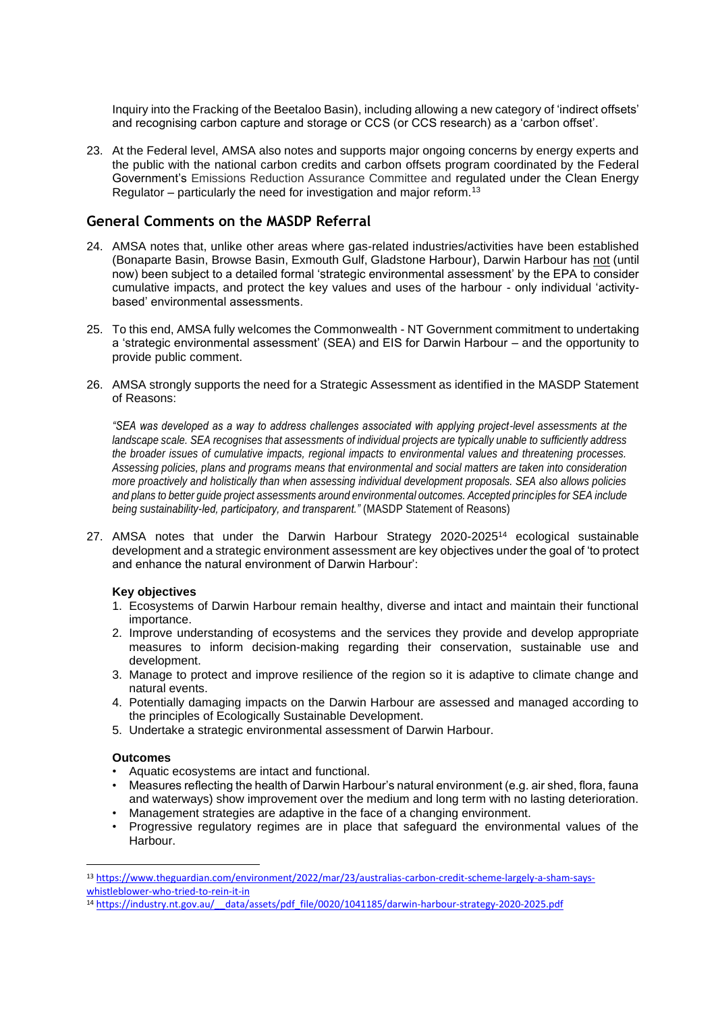Inquiry into the Fracking of the Beetaloo Basin), including allowing a new category of 'indirect offsets' and recognising carbon capture and storage or CCS (or CCS research) as a 'carbon offset'.

23. At the Federal level, AMSA also notes and supports major ongoing concerns by energy experts and the public with the national carbon credits and carbon offsets program coordinated by the Federal Government's Emissions Reduction Assurance Committee and regulated under the Clean Energy Regulator  $-$  particularly the need for investigation and major reform.<sup>13</sup>

# **General Comments on the MASDP Referral**

- 24. AMSA notes that, unlike other areas where gas-related industries/activities have been established (Bonaparte Basin, Browse Basin, Exmouth Gulf, Gladstone Harbour), Darwin Harbour has not (until now) been subject to a detailed formal 'strategic environmental assessment' by the EPA to consider cumulative impacts, and protect the key values and uses of the harbour - only individual 'activitybased' environmental assessments.
- 25. To this end, AMSA fully welcomes the Commonwealth NT Government commitment to undertaking a 'strategic environmental assessment' (SEA) and EIS for Darwin Harbour – and the opportunity to provide public comment.
- 26. AMSA strongly supports the need for a Strategic Assessment as identified in the MASDP Statement of Reasons:

*"SEA was developed as a way to address challenges associated with applying project-level assessments at the landscape scale. SEA recognises that assessments of individual projects are typically unable to sufficiently address the broader issues of cumulative impacts, regional impacts to environmental values and threatening processes. Assessing policies, plans and programs means that environmental and social matters are taken into consideration more proactively and holistically than when assessing individual development proposals. SEA also allows policies and plans to better guide project assessments around environmental outcomes. Accepted principles for SEA include being sustainability-led, participatory, and transparent."* (MASDP Statement of Reasons)

27. AMSA notes that under the Darwin Harbour Strategy 2020-2025<sup>14</sup> ecological sustainable development and a strategic environment assessment are key objectives under the goal of 'to protect and enhance the natural environment of Darwin Harbour':

#### **Key objectives**

- 1. Ecosystems of Darwin Harbour remain healthy, diverse and intact and maintain their functional importance.
- 2. Improve understanding of ecosystems and the services they provide and develop appropriate measures to inform decision-making regarding their conservation, sustainable use and development.
- 3. Manage to protect and improve resilience of the region so it is adaptive to climate change and natural events.
- 4. Potentially damaging impacts on the Darwin Harbour are assessed and managed according to the principles of Ecologically Sustainable Development.
- 5. Undertake a strategic environmental assessment of Darwin Harbour.

### **Outcomes**

- Aquatic ecosystems are intact and functional.
- Measures reflecting the health of Darwin Harbour's natural environment (e.g. air shed, flora, fauna and waterways) show improvement over the medium and long term with no lasting deterioration.
- Management strategies are adaptive in the face of a changing environment.
- Progressive regulatory regimes are in place that safeguard the environmental values of the Harbour.

<sup>13</sup> [https://www.theguardian.com/environment/2022/mar/23/australias-carbon-credit-scheme-largely-a-sham-says](https://www.theguardian.com/environment/2022/mar/23/australias-carbon-credit-scheme-largely-a-sham-says-whistleblower-who-tried-to-rein-it-in)[whistleblower-who-tried-to-rein-it-in](https://www.theguardian.com/environment/2022/mar/23/australias-carbon-credit-scheme-largely-a-sham-says-whistleblower-who-tried-to-rein-it-in)

<sup>14</sup> [https://industry.nt.gov.au/\\_\\_data/assets/pdf\\_file/0020/1041185/darwin-harbour-strategy-2020-2025.pdf](https://industry.nt.gov.au/__data/assets/pdf_file/0020/1041185/darwin-harbour-strategy-2020-2025.pdf)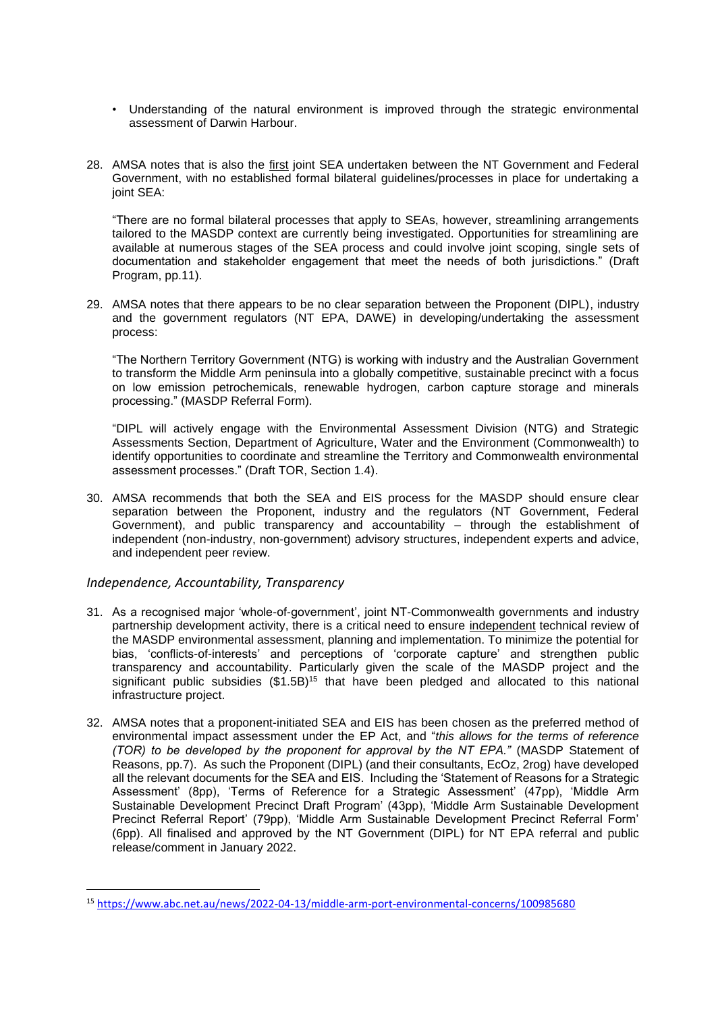- Understanding of the natural environment is improved through the strategic environmental assessment of Darwin Harbour.
- 28. AMSA notes that is also the first joint SEA undertaken between the NT Government and Federal Government, with no established formal bilateral guidelines/processes in place for undertaking a joint SEA:

"There are no formal bilateral processes that apply to SEAs, however, streamlining arrangements tailored to the MASDP context are currently being investigated. Opportunities for streamlining are available at numerous stages of the SEA process and could involve joint scoping, single sets of documentation and stakeholder engagement that meet the needs of both jurisdictions." (Draft Program, pp.11).

29. AMSA notes that there appears to be no clear separation between the Proponent (DIPL), industry and the government regulators (NT EPA, DAWE) in developing/undertaking the assessment process:

"The Northern Territory Government (NTG) is working with industry and the Australian Government to transform the Middle Arm peninsula into a globally competitive, sustainable precinct with a focus on low emission petrochemicals, renewable hydrogen, carbon capture storage and minerals processing." (MASDP Referral Form).

"DIPL will actively engage with the Environmental Assessment Division (NTG) and Strategic Assessments Section, Department of Agriculture, Water and the Environment (Commonwealth) to identify opportunities to coordinate and streamline the Territory and Commonwealth environmental assessment processes." (Draft TOR, Section 1.4).

30. AMSA recommends that both the SEA and EIS process for the MASDP should ensure clear separation between the Proponent, industry and the regulators (NT Government, Federal Government), and public transparency and accountability – through the establishment of independent (non-industry, non-government) advisory structures, independent experts and advice, and independent peer review.

### *Independence, Accountability, Transparency*

- 31. As a recognised major 'whole-of-government', joint NT-Commonwealth governments and industry partnership development activity, there is a critical need to ensure independent technical review of the MASDP environmental assessment, planning and implementation. To minimize the potential for bias, 'conflicts-of-interests' and perceptions of 'corporate capture' and strengthen public transparency and accountability. Particularly given the scale of the MASDP project and the significant public subsidies (\$1.5B)<sup>15</sup> that have been pledged and allocated to this national infrastructure project.
- 32. AMSA notes that a proponent-initiated SEA and EIS has been chosen as the preferred method of environmental impact assessment under the EP Act, and "*this allows for the terms of reference (TOR) to be developed by the proponent for approval by the NT EPA."* (MASDP Statement of Reasons, pp.7). As such the Proponent (DIPL) (and their consultants, EcOz, 2rog) have developed all the relevant documents for the SEA and EIS. Including the 'Statement of Reasons for a Strategic Assessment' (8pp), 'Terms of Reference for a Strategic Assessment' (47pp), 'Middle Arm Sustainable Development Precinct Draft Program' (43pp), 'Middle Arm Sustainable Development Precinct Referral Report' (79pp), 'Middle Arm Sustainable Development Precinct Referral Form' (6pp). All finalised and approved by the NT Government (DIPL) for NT EPA referral and public release/comment in January 2022.

<sup>15</sup> <https://www.abc.net.au/news/2022-04-13/middle-arm-port-environmental-concerns/100985680>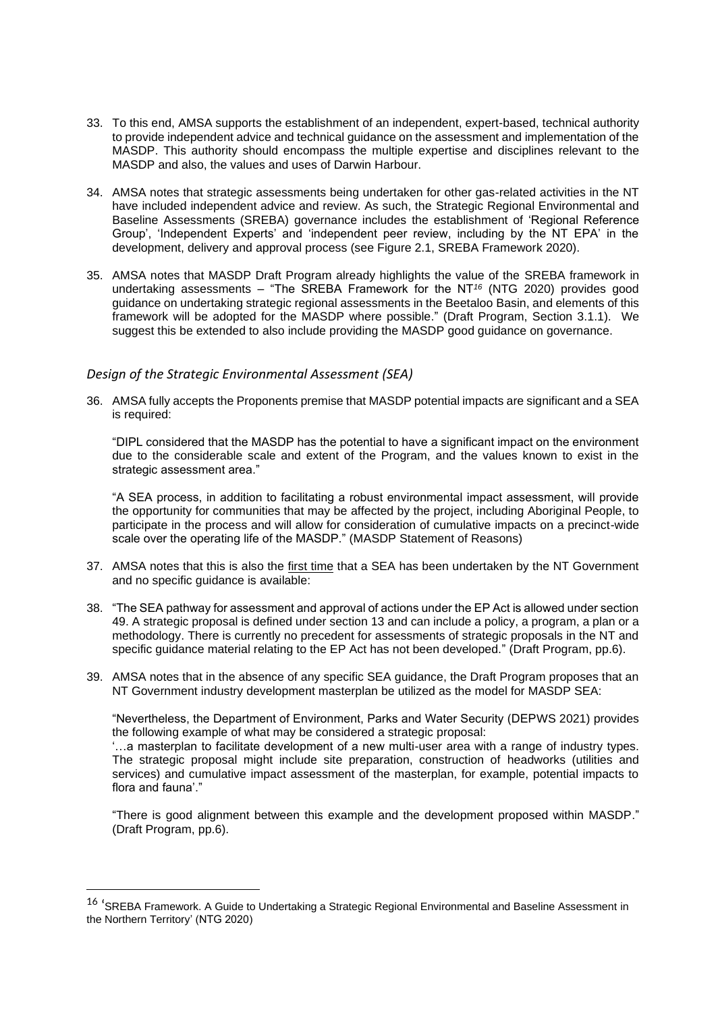- 33. To this end, AMSA supports the establishment of an independent, expert-based, technical authority to provide independent advice and technical guidance on the assessment and implementation of the MASDP. This authority should encompass the multiple expertise and disciplines relevant to the MASDP and also, the values and uses of Darwin Harbour.
- 34. AMSA notes that strategic assessments being undertaken for other gas-related activities in the NT have included independent advice and review. As such, the Strategic Regional Environmental and Baseline Assessments (SREBA) governance includes the establishment of 'Regional Reference Group', 'Independent Experts' and 'independent peer review, including by the NT EPA' in the development, delivery and approval process (see Figure 2.1, SREBA Framework 2020).
- 35. AMSA notes that MASDP Draft Program already highlights the value of the SREBA framework in undertaking assessments – "The SREBA Framework for the NT*<sup>16</sup>* (NTG 2020) provides good guidance on undertaking strategic regional assessments in the Beetaloo Basin, and elements of this framework will be adopted for the MASDP where possible." (Draft Program, Section 3.1.1). We suggest this be extended to also include providing the MASDP good guidance on governance.

### *Design of the Strategic Environmental Assessment (SEA)*

36. AMSA fully accepts the Proponents premise that MASDP potential impacts are significant and a SEA is required:

"DIPL considered that the MASDP has the potential to have a significant impact on the environment due to the considerable scale and extent of the Program, and the values known to exist in the strategic assessment area."

"A SEA process, in addition to facilitating a robust environmental impact assessment, will provide the opportunity for communities that may be affected by the project, including Aboriginal People, to participate in the process and will allow for consideration of cumulative impacts on a precinct-wide scale over the operating life of the MASDP." (MASDP Statement of Reasons)

- 37. AMSA notes that this is also the first time that a SEA has been undertaken by the NT Government and no specific guidance is available:
- 38. "The SEA pathway for assessment and approval of actions under the EP Act is allowed under section 49. A strategic proposal is defined under section 13 and can include a policy, a program, a plan or a methodology. There is currently no precedent for assessments of strategic proposals in the NT and specific guidance material relating to the EP Act has not been developed." (Draft Program, pp.6).
- 39. AMSA notes that in the absence of any specific SEA guidance, the Draft Program proposes that an NT Government industry development masterplan be utilized as the model for MASDP SEA:

"Nevertheless, the Department of Environment, Parks and Water Security (DEPWS 2021) provides the following example of what may be considered a strategic proposal:

'…a masterplan to facilitate development of a new multi-user area with a range of industry types. The strategic proposal might include site preparation, construction of headworks (utilities and services) and cumulative impact assessment of the masterplan, for example, potential impacts to flora and fauna'."

"There is good alignment between this example and the development proposed within MASDP." (Draft Program, pp.6).

<sup>&</sup>lt;sup>16</sup> 'SREBA Framework. A Guide to Undertaking a Strategic Regional Environmental and Baseline Assessment in the Northern Territory' (NTG 2020)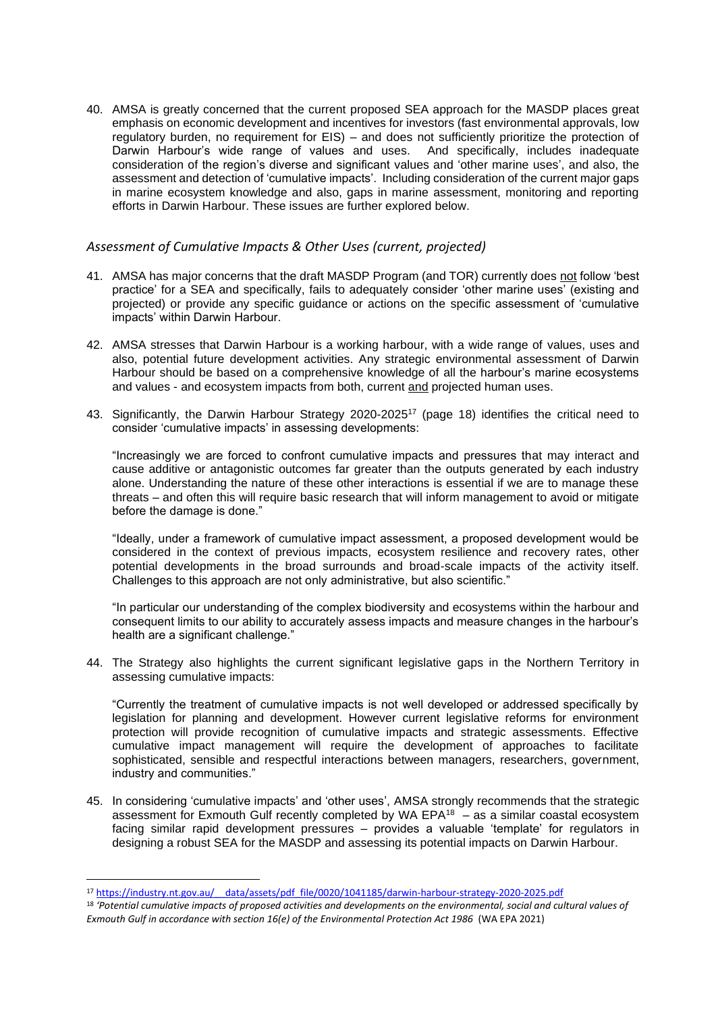40. AMSA is greatly concerned that the current proposed SEA approach for the MASDP places great emphasis on economic development and incentives for investors (fast environmental approvals, low regulatory burden, no requirement for EIS) – and does not sufficiently prioritize the protection of Darwin Harbour's wide range of values and uses. And specifically, includes inadequate consideration of the region's diverse and significant values and 'other marine uses', and also, the assessment and detection of 'cumulative impacts'. Including consideration of the current major gaps in marine ecosystem knowledge and also, gaps in marine assessment, monitoring and reporting efforts in Darwin Harbour. These issues are further explored below.

### *Assessment of Cumulative Impacts & Other Uses (current, projected)*

- 41. AMSA has major concerns that the draft MASDP Program (and TOR) currently does not follow 'best practice' for a SEA and specifically, fails to adequately consider 'other marine uses' (existing and projected) or provide any specific guidance or actions on the specific assessment of 'cumulative impacts' within Darwin Harbour.
- 42. AMSA stresses that Darwin Harbour is a working harbour, with a wide range of values, uses and also, potential future development activities. Any strategic environmental assessment of Darwin Harbour should be based on a comprehensive knowledge of all the harbour's marine ecosystems and values - and ecosystem impacts from both, current and projected human uses.
- 43. Significantly, the Darwin Harbour Strategy 2020-2025<sup>17</sup> (page 18) identifies the critical need to consider 'cumulative impacts' in assessing developments:

"Increasingly we are forced to confront cumulative impacts and pressures that may interact and cause additive or antagonistic outcomes far greater than the outputs generated by each industry alone. Understanding the nature of these other interactions is essential if we are to manage these threats – and often this will require basic research that will inform management to avoid or mitigate before the damage is done."

"Ideally, under a framework of cumulative impact assessment, a proposed development would be considered in the context of previous impacts, ecosystem resilience and recovery rates, other potential developments in the broad surrounds and broad-scale impacts of the activity itself. Challenges to this approach are not only administrative, but also scientific."

"In particular our understanding of the complex biodiversity and ecosystems within the harbour and consequent limits to our ability to accurately assess impacts and measure changes in the harbour's health are a significant challenge."

44. The Strategy also highlights the current significant legislative gaps in the Northern Territory in assessing cumulative impacts:

"Currently the treatment of cumulative impacts is not well developed or addressed specifically by legislation for planning and development. However current legislative reforms for environment protection will provide recognition of cumulative impacts and strategic assessments. Effective cumulative impact management will require the development of approaches to facilitate sophisticated, sensible and respectful interactions between managers, researchers, government, industry and communities."

45. In considering 'cumulative impacts' and 'other uses', AMSA strongly recommends that the strategic assessment for Exmouth Gulf recently completed by WA EPA $18 -$  as a similar coastal ecosystem facing similar rapid development pressures – provides a valuable 'template' for regulators in designing a robust SEA for the MASDP and assessing its potential impacts on Darwin Harbour.

<sup>17</sup> [https://industry.nt.gov.au/\\_\\_data/assets/pdf\\_file/0020/1041185/darwin-harbour-strategy-2020-2025.pdf](https://industry.nt.gov.au/__data/assets/pdf_file/0020/1041185/darwin-harbour-strategy-2020-2025.pdf)

<sup>18</sup> *'Potential cumulative impacts of proposed activities and developments on the environmental, social and cultural values of Exmouth Gulf in accordance with section 16(e) of the Environmental Protection Act 1986* (WA EPA 2021)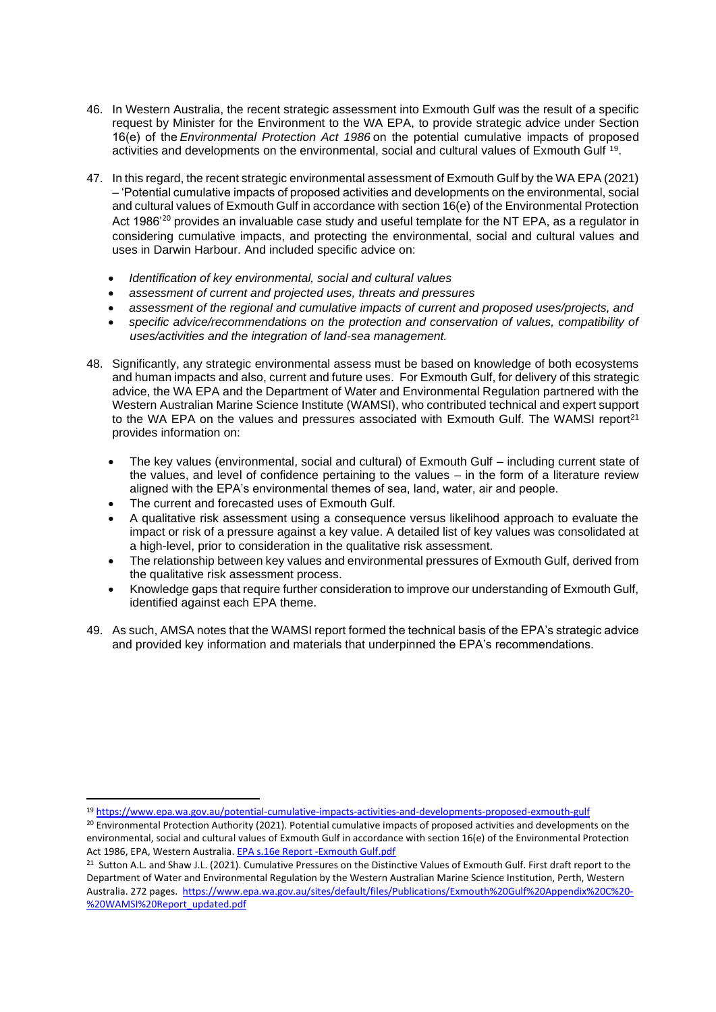- 46. In Western Australia, the recent strategic assessment into Exmouth Gulf was the result of a specific request by Minister for the Environment to the WA EPA, to provide strategic advice under Section 16(e) of the *Environmental Protection Act 1986* on the potential cumulative impacts of proposed activities and developments on the environmental, social and cultural values of Exmouth Gulf <sup>19</sup> .
- 47. In this regard, the recent strategic environmental assessment of Exmouth Gulf by the WA EPA (2021) – 'Potential cumulative impacts of proposed activities and developments on the environmental, social and cultural values of Exmouth Gulf in accordance with section 16(e) of the Environmental Protection Act 1986<sup>'20</sup> provides an invaluable case study and useful template for the NT EPA, as a regulator in considering cumulative impacts, and protecting the environmental, social and cultural values and uses in Darwin Harbour. And included specific advice on:
	- *Identification of key environmental, social and cultural values*
	- *assessment of current and projected uses, threats and pressures*
	- *assessment of the regional and cumulative impacts of current and proposed uses/projects, and*
	- *specific advice/recommendations on the protection and conservation of values, compatibility of uses/activities and the integration of land-sea management.*
- 48. Significantly, any strategic environmental assess must be based on knowledge of both ecosystems and human impacts and also, current and future uses. For Exmouth Gulf, for delivery of this strategic advice, the WA EPA and the Department of Water and Environmental Regulation partnered with the Western Australian Marine Science Institute (WAMSI), who contributed technical and expert support to the WA EPA on the values and pressures associated with Exmouth Gulf. The WAMSI report<sup>21</sup> provides information on:
	- The key values (environmental, social and cultural) of Exmouth Gulf including current state of the values, and level of confidence pertaining to the values – in the form of a literature review aligned with the EPA's environmental themes of sea, land, water, air and people.
	- The current and forecasted uses of Exmouth Gulf.
	- A qualitative risk assessment using a consequence versus likelihood approach to evaluate the impact or risk of a pressure against a key value. A detailed list of key values was consolidated at a high-level, prior to consideration in the qualitative risk assessment.
	- The relationship between key values and environmental pressures of Exmouth Gulf, derived from the qualitative risk assessment process.
	- Knowledge gaps that require further consideration to improve our understanding of Exmouth Gulf, identified against each EPA theme.
- 49. As such, AMSA notes that the WAMSI report formed the technical basis of the EPA's strategic advice and provided key information and materials that underpinned the EPA's recommendations.

<sup>19</sup> <https://www.epa.wa.gov.au/potential-cumulative-impacts-activities-and-developments-proposed-exmouth-gulf>

<sup>20</sup> Environmental Protection Authority (2021). Potential cumulative impacts of proposed activities and developments on the environmental, social and cultural values of Exmouth Gulf in accordance with section 16(e) of the Environmental Protection Act 1986, EPA, Western Australia[. EPA s.16e Report -Exmouth Gulf.pdf](https://aus01.safelinks.protection.outlook.com/?url=https%3A%2F%2Fwww.epa.wa.gov.au%2Fsites%2Fdefault%2Ffiles%2FPublications%2FEPA%2520s.16e%2520Report%2520-Exmouth%2520Gulf.pdf&data=04%7C01%7CKaren.Edyvane%40cdu.edu.au%7C1e21631b90b14381215908d9f66ca823%7C9f2487678e1a42f3836fc092ab95ff70%7C0%7C0%7C637811768819980688%7CUnknown%7CTWFpbGZsb3d8eyJWIjoiMC4wLjAwMDAiLCJQIjoiV2luMzIiLCJBTiI6Ik1haWwiLCJXVCI6Mn0%3D%7C2000&sdata=BdUhg6sUYr%2F8xch99IHQbQFJqYSvp2OtlR8WXmUy65w%3D&reserved=0)

<sup>&</sup>lt;sup>21</sup> Sutton A.L. and Shaw J.L. (2021). Cumulative Pressures on the Distinctive Values of Exmouth Gulf. First draft report to the Department of Water and Environmental Regulation by the Western Australian Marine Science Institution, Perth, Western Australia. 272 pages. [https://www.epa.wa.gov.au/sites/default/files/Publications/Exmouth%20Gulf%20Appendix%20C%20-](https://www.epa.wa.gov.au/sites/default/files/Publications/Exmouth%20Gulf%20Appendix%20C%20-%20WAMSI%20Report_updated.pdf) [%20WAMSI%20Report\\_updated.pdf](https://www.epa.wa.gov.au/sites/default/files/Publications/Exmouth%20Gulf%20Appendix%20C%20-%20WAMSI%20Report_updated.pdf)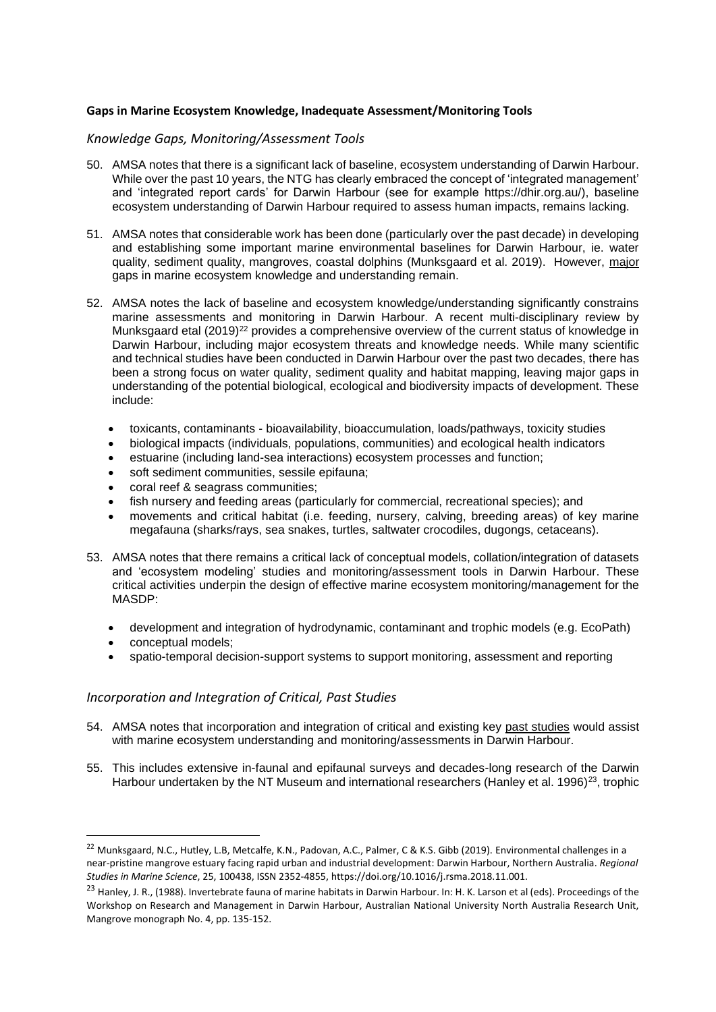### **Gaps in Marine Ecosystem Knowledge, Inadequate Assessment/Monitoring Tools**

#### *Knowledge Gaps, Monitoring/Assessment Tools*

- 50. AMSA notes that there is a significant lack of baseline, ecosystem understanding of Darwin Harbour. While over the past 10 years, the NTG has clearly embraced the concept of 'integrated management' and 'integrated report cards' for Darwin Harbour (see for example [https://dhir.org.au/\)](https://dhir.org.au/), baseline ecosystem understanding of Darwin Harbour required to assess human impacts, remains lacking.
- 51. AMSA notes that considerable work has been done (particularly over the past decade) in developing and establishing some important marine environmental baselines for Darwin Harbour, ie. water quality, sediment quality, mangroves, coastal dolphins (Munksgaard et al. 2019). However, major gaps in marine ecosystem knowledge and understanding remain.
- 52. AMSA notes the lack of baseline and ecosystem knowledge/understanding significantly constrains marine assessments and monitoring in Darwin Harbour. A recent multi-disciplinary review by Munksgaard etal (2019)<sup>22</sup> provides a comprehensive overview of the current status of knowledge in Darwin Harbour, including major ecosystem threats and knowledge needs. While many scientific and technical studies have been conducted in Darwin Harbour over the past two decades, there has been a strong focus on water quality, sediment quality and habitat mapping, leaving major gaps in understanding of the potential biological, ecological and biodiversity impacts of development. These include:
	- toxicants, contaminants bioavailability, bioaccumulation, loads/pathways, toxicity studies
	- biological impacts (individuals, populations, communities) and ecological health indicators
	- estuarine (including land-sea interactions) ecosystem processes and function;
	- soft sediment communities, sessile epifauna;
	- coral reef & seagrass communities;
	- fish nursery and feeding areas (particularly for commercial, recreational species); and
	- movements and critical habitat (i.e. feeding, nursery, calving, breeding areas) of key marine megafauna (sharks/rays, sea snakes, turtles, saltwater crocodiles, dugongs, cetaceans).
- 53. AMSA notes that there remains a critical lack of conceptual models, collation/integration of datasets and 'ecosystem modeling' studies and monitoring/assessment tools in Darwin Harbour. These critical activities underpin the design of effective marine ecosystem monitoring/management for the MASDP:
	- development and integration of hydrodynamic, contaminant and trophic models (e.g. EcoPath)
	- conceptual models;
	- spatio-temporal decision-support systems to support monitoring, assessment and reporting

### *Incorporation and Integration of Critical, Past Studies*

- 54. AMSA notes that incorporation and integration of critical and existing key past studies would assist with marine ecosystem understanding and monitoring/assessments in Darwin Harbour.
- 55. This includes extensive in-faunal and epifaunal surveys and decades-long research of the Darwin Harbour undertaken by the NT Museum and international researchers (Hanley et al. 1996)<sup>23</sup>, trophic

<sup>22</sup> Munksgaard, N.C., Hutley, L.B, Metcalfe, K.N., Padovan, A.C., Palmer, C & K.S. Gibb (2019). Environmental challenges in a near-pristine mangrove estuary facing rapid urban and industrial development: Darwin Harbour, Northern Australia. *Regional Studies in Marine Science*, 25, 100438, ISSN 2352-4855, https://doi.org/10.1016/j.rsma.2018.11.001.

<sup>&</sup>lt;sup>23</sup> Hanley, J. R., (1988). Invertebrate fauna of marine habitats in Darwin Harbour. In: H. K. Larson et al (eds). Proceedings of the Workshop on Research and Management in Darwin Harbour, Australian National University North Australia Research Unit, Mangrove monograph No. 4, pp. 135-152.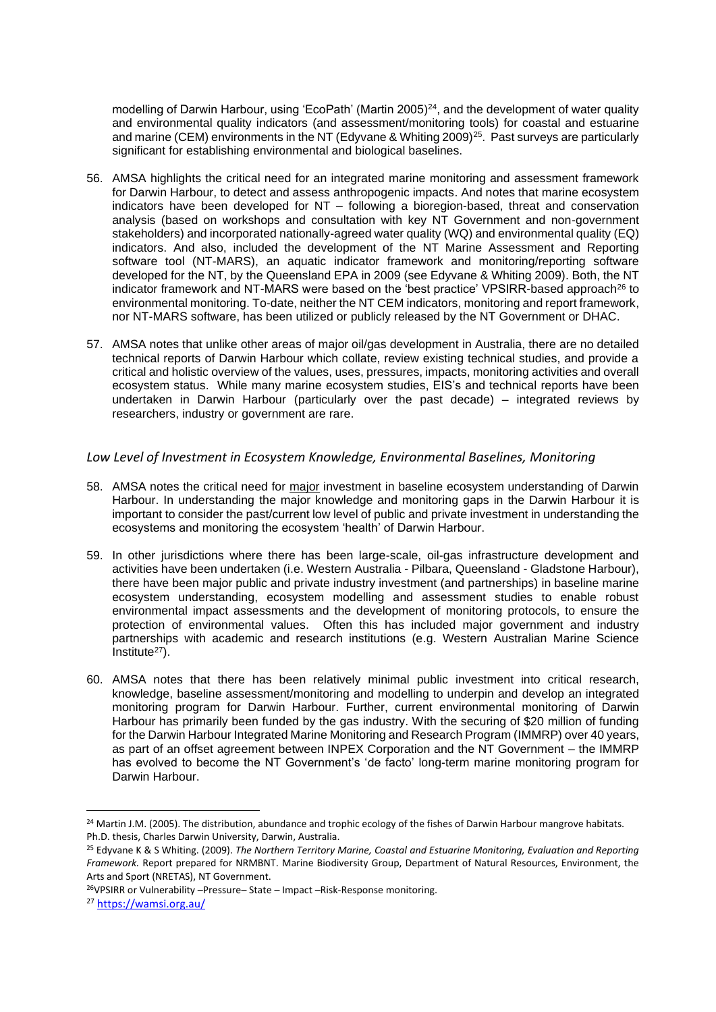modelling of Darwin Harbour, using 'EcoPath' (Martin 2005)<sup>24</sup>, and the development of water quality and environmental quality indicators (and assessment/monitoring tools) for coastal and estuarine and marine (CEM) environments in the NT (Edyvane & Whiting 2009)<sup>25</sup>. Past surveys are particularly significant for establishing environmental and biological baselines.

- 56. AMSA highlights the critical need for an integrated marine monitoring and assessment framework for Darwin Harbour, to detect and assess anthropogenic impacts. And notes that marine ecosystem indicators have been developed for NT – following a bioregion-based, threat and conservation analysis (based on workshops and consultation with key NT Government and non-government stakeholders) and incorporated nationally-agreed water quality (WQ) and environmental quality (EQ) indicators. And also, included the development of the NT Marine Assessment and Reporting software tool (NT-MARS), an aquatic indicator framework and monitoring/reporting software developed for the NT, by the Queensland EPA in 2009 (see Edyvane & Whiting 2009). Both, the NT indicator framework and NT-MARS were based on the 'best practice' VPSIRR-based approach<sup>26</sup> to environmental monitoring. To-date, neither the NT CEM indicators, monitoring and report framework, nor NT-MARS software, has been utilized or publicly released by the NT Government or DHAC.
- 57. AMSA notes that unlike other areas of major oil/gas development in Australia, there are no detailed technical reports of Darwin Harbour which collate, review existing technical studies, and provide a critical and holistic overview of the values, uses, pressures, impacts, monitoring activities and overall ecosystem status. While many marine ecosystem studies, EIS's and technical reports have been undertaken in Darwin Harbour (particularly over the past decade) – integrated reviews by researchers, industry or government are rare.

### *Low Level of Investment in Ecosystem Knowledge, Environmental Baselines, Monitoring*

- 58. AMSA notes the critical need for major investment in baseline ecosystem understanding of Darwin Harbour. In understanding the major knowledge and monitoring gaps in the Darwin Harbour it is important to consider the past/current low level of public and private investment in understanding the ecosystems and monitoring the ecosystem 'health' of Darwin Harbour.
- 59. In other jurisdictions where there has been large-scale, oil-gas infrastructure development and activities have been undertaken (i.e. Western Australia - Pilbara, Queensland - Gladstone Harbour), there have been major public and private industry investment (and partnerships) in baseline marine ecosystem understanding, ecosystem modelling and assessment studies to enable robust environmental impact assessments and the development of monitoring protocols, to ensure the protection of environmental values. Often this has included major government and industry partnerships with academic and research institutions (e.g. Western Australian Marine Science  $institute<sup>27</sup>$ .
- 60. AMSA notes that there has been relatively minimal public investment into critical research, knowledge, baseline assessment/monitoring and modelling to underpin and develop an integrated monitoring program for Darwin Harbour. Further, current environmental monitoring of Darwin Harbour has primarily been funded by the gas industry. With the securing of \$20 million of funding for the Darwin Harbour Integrated Marine Monitoring and Research Program (IMMRP) over 40 years, as part of an offset agreement between INPEX Corporation and the NT Government – the IMMRP has evolved to become the NT Government's 'de facto' long-term marine monitoring program for Darwin Harbour.

<sup>&</sup>lt;sup>24</sup> Martin J.M. (2005). The distribution, abundance and trophic ecology of the fishes of Darwin Harbour mangrove habitats. Ph.D. thesis, Charles Darwin University, Darwin, Australia.

<sup>25</sup> Edyvane K & S Whiting. (2009). *The Northern Territory Marine, Coastal and Estuarine Monitoring, Evaluation and Reporting Framework.* Report prepared for NRMBNT. Marine Biodiversity Group, Department of Natural Resources, Environment, the Arts and Sport (NRETAS), NT Government.

<sup>26</sup>VPSIRR or Vulnerability –Pressure– State – Impact –Risk-Response monitoring.

<sup>27</sup> <https://wamsi.org.au/>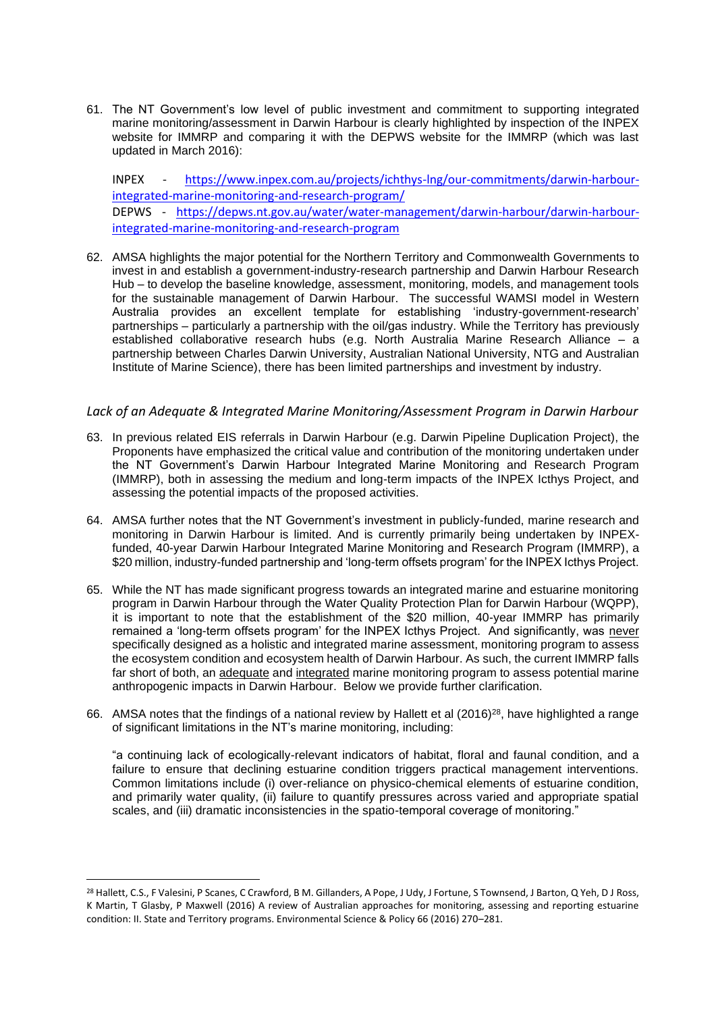61. The NT Government's low level of public investment and commitment to supporting integrated marine monitoring/assessment in Darwin Harbour is clearly highlighted by inspection of the INPEX website for IMMRP and comparing it with the DEPWS website for the IMMRP (which was last updated in March 2016):

INPEX - [https://www.inpex.com.au/projects/ichthys-lng/our-commitments/darwin-harbour](https://www.inpex.com.au/projects/ichthys-lng/our-commitments/darwin-harbour-integrated-marine-monitoring-and-research-program/)[integrated-marine-monitoring-and-research-program/](https://www.inpex.com.au/projects/ichthys-lng/our-commitments/darwin-harbour-integrated-marine-monitoring-and-research-program/) DEPWS - [https://depws.nt.gov.au/water/water-management/darwin-harbour/darwin-harbour](https://depws.nt.gov.au/water/water-management/darwin-harbour/darwin-harbour-integrated-marine-monitoring-and-research-program)[integrated-marine-monitoring-and-research-program](https://depws.nt.gov.au/water/water-management/darwin-harbour/darwin-harbour-integrated-marine-monitoring-and-research-program)

62. AMSA highlights the major potential for the Northern Territory and Commonwealth Governments to invest in and establish a government-industry-research partnership and Darwin Harbour Research Hub – to develop the baseline knowledge, assessment, monitoring, models, and management tools for the sustainable management of Darwin Harbour. The successful WAMSI model in Western Australia provides an excellent template for establishing 'industry-government-research' partnerships – particularly a partnership with the oil/gas industry. While the Territory has previously established collaborative research hubs (e.g. North Australia Marine Research Alliance – a partnership between Charles Darwin University, Australian National University, NTG and Australian Institute of Marine Science), there has been limited partnerships and investment by industry.

#### *Lack of an Adequate & Integrated Marine Monitoring/Assessment Program in Darwin Harbour*

- 63. In previous related EIS referrals in Darwin Harbour (e.g. Darwin Pipeline Duplication Project), the Proponents have emphasized the critical value and contribution of the monitoring undertaken under the NT Government's Darwin Harbour Integrated Marine Monitoring and Research Program (IMMRP), both in assessing the medium and long-term impacts of the INPEX Icthys Project, and assessing the potential impacts of the proposed activities.
- 64. AMSA further notes that the NT Government's investment in publicly-funded, marine research and monitoring in Darwin Harbour is limited. And is currently primarily being undertaken by INPEXfunded, 40-year Darwin Harbour Integrated Marine Monitoring and Research Program (IMMRP), a \$20 million, industry-funded partnership and 'long-term offsets program' for the INPEX Icthys Project.
- 65. While the NT has made significant progress towards an integrated marine and estuarine monitoring program in Darwin Harbour through the Water Quality Protection Plan for Darwin Harbour (WQPP), it is important to note that the establishment of the \$20 million, 40-year IMMRP has primarily remained a 'long-term offsets program' for the INPEX Icthys Project. And significantly, was never specifically designed as a holistic and integrated marine assessment, monitoring program to assess the ecosystem condition and ecosystem health of Darwin Harbour. As such, the current IMMRP falls far short of both, an adequate and integrated marine monitoring program to assess potential marine anthropogenic impacts in Darwin Harbour. Below we provide further clarification.
- 66. AMSA notes that the findings of a national review by Hallett et al (2016)<sup>28</sup>, have highlighted a range of significant limitations in the NT's marine monitoring, including:

"a continuing lack of ecologically-relevant indicators of habitat, floral and faunal condition, and a failure to ensure that declining estuarine condition triggers practical management interventions. Common limitations include (i) over-reliance on physico-chemical elements of estuarine condition, and primarily water quality, (ii) failure to quantify pressures across varied and appropriate spatial scales, and (iii) dramatic inconsistencies in the spatio-temporal coverage of monitoring."

<sup>&</sup>lt;sup>28</sup> Hallett, C.S., F Valesini, P Scanes, C Crawford, B M. Gillanders, A Pope, J Udy, J Fortune, S Townsend, J Barton, Q Yeh, D J Ross, K Martin, T Glasby, P Maxwell (2016) A review of Australian approaches for monitoring, assessing and reporting estuarine condition: II. State and Territory programs. Environmental Science & Policy 66 (2016) 270–281.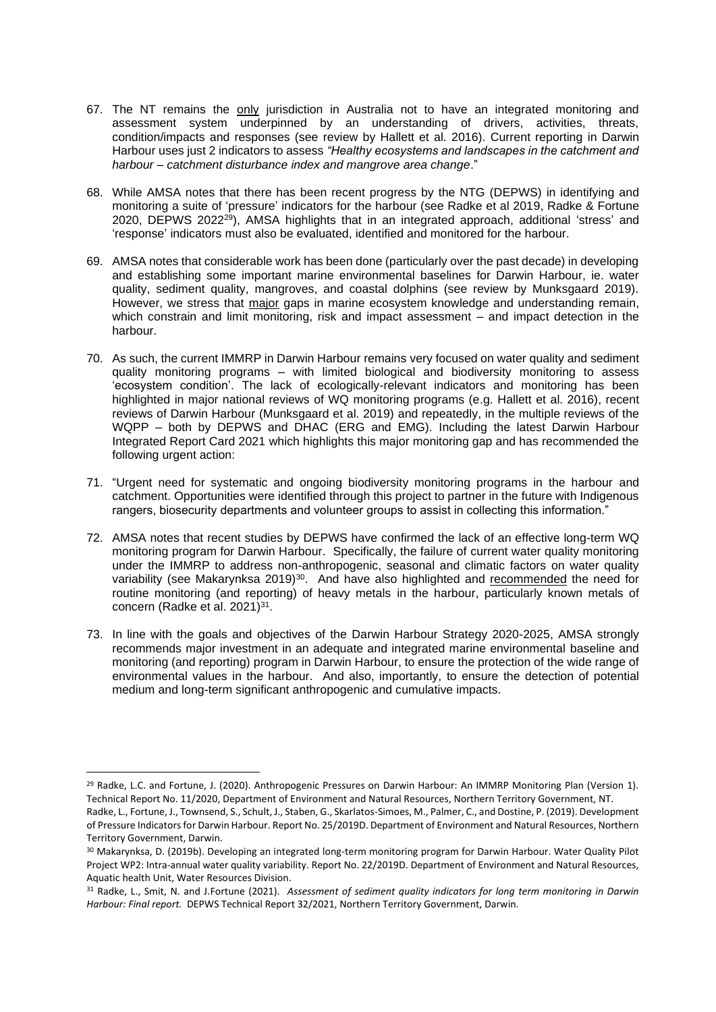- 67. The NT remains the only jurisdiction in Australia not to have an integrated monitoring and assessment system underpinned by an understanding of drivers, activities, threats, condition/impacts and responses (see review by Hallett et al. 2016). Current reporting in Darwin Harbour uses just 2 indicators to assess *"Healthy ecosystems and landscapes in the catchment and harbour – catchment disturbance index and mangrove area change*."
- 68. While AMSA notes that there has been recent progress by the NTG (DEPWS) in identifying and monitoring a suite of 'pressure' indicators for the harbour (see Radke et al 2019, Radke & Fortune 2020, DEPWS 2022<sup>29</sup>), AMSA highlights that in an integrated approach, additional 'stress' and 'response' indicators must also be evaluated, identified and monitored for the harbour.
- 69. AMSA notes that considerable work has been done (particularly over the past decade) in developing and establishing some important marine environmental baselines for Darwin Harbour, ie. water quality, sediment quality, mangroves, and coastal dolphins (see review by Munksgaard 2019). However, we stress that major gaps in marine ecosystem knowledge and understanding remain, which constrain and limit monitoring, risk and impact assessment – and impact detection in the harbour.
- 70. As such, the current IMMRP in Darwin Harbour remains very focused on water quality and sediment quality monitoring programs – with limited biological and biodiversity monitoring to assess 'ecosystem condition'. The lack of ecologically-relevant indicators and monitoring has been highlighted in major national reviews of WQ monitoring programs (e.g. Hallett et al. 2016), recent reviews of Darwin Harbour (Munksgaard et al. 2019) and repeatedly, in the multiple reviews of the WQPP – both by DEPWS and DHAC (ERG and EMG). Including the latest Darwin Harbour Integrated Report Card 2021 which highlights this major monitoring gap and has recommended the following urgent action:
- 71. "Urgent need for systematic and ongoing biodiversity monitoring programs in the harbour and catchment. Opportunities were identified through this project to partner in the future with Indigenous rangers, biosecurity departments and volunteer groups to assist in collecting this information."
- 72. AMSA notes that recent studies by DEPWS have confirmed the lack of an effective long-term WQ monitoring program for Darwin Harbour.Specifically, the failure of current water quality monitoring under the IMMRP to address non-anthropogenic, seasonal and climatic factors on water quality variability (see Makarynksa 2019)<sup>30</sup>. And have also highlighted and recommended the need for routine monitoring (and reporting) of heavy metals in the harbour, particularly known metals of concern (Radke et al. 2021)<sup>31</sup>.
- 73. In line with the goals and objectives of the Darwin Harbour Strategy 2020-2025, AMSA strongly recommends major investment in an adequate and integrated marine environmental baseline and monitoring (and reporting) program in Darwin Harbour, to ensure the protection of the wide range of environmental values in the harbour. And also, importantly, to ensure the detection of potential medium and long-term significant anthropogenic and cumulative impacts.

<sup>&</sup>lt;sup>29</sup> Radke, L.C. and Fortune, J. (2020). Anthropogenic Pressures on Darwin Harbour: An IMMRP Monitoring Plan (Version 1). Technical Report No. 11/2020, Department of Environment and Natural Resources, Northern Territory Government, NT.

Radke, L., Fortune, J., Townsend, S., Schult, J., Staben, G., Skarlatos-Simoes, M., Palmer, C., and Dostine, P. (2019). Development of Pressure Indicators for Darwin Harbour. Report No. 25/2019D. Department of Environment and Natural Resources, Northern Territory Government, Darwin.

<sup>30</sup> Makarynksa, D. (2019b). Developing an integrated long-term monitoring program for Darwin Harbour. Water Quality Pilot Project WP2: Intra-annual water quality variability. Report No. 22/2019D. Department of Environment and Natural Resources, Aquatic health Unit, Water Resources Division.

<sup>31</sup> Radke, L., Smit, N. and J.Fortune (2021). *Assessment of sediment quality indicators for long term monitoring in Darwin Harbour: Final report.* DEPWS Technical Report 32/2021, Northern Territory Government, Darwin.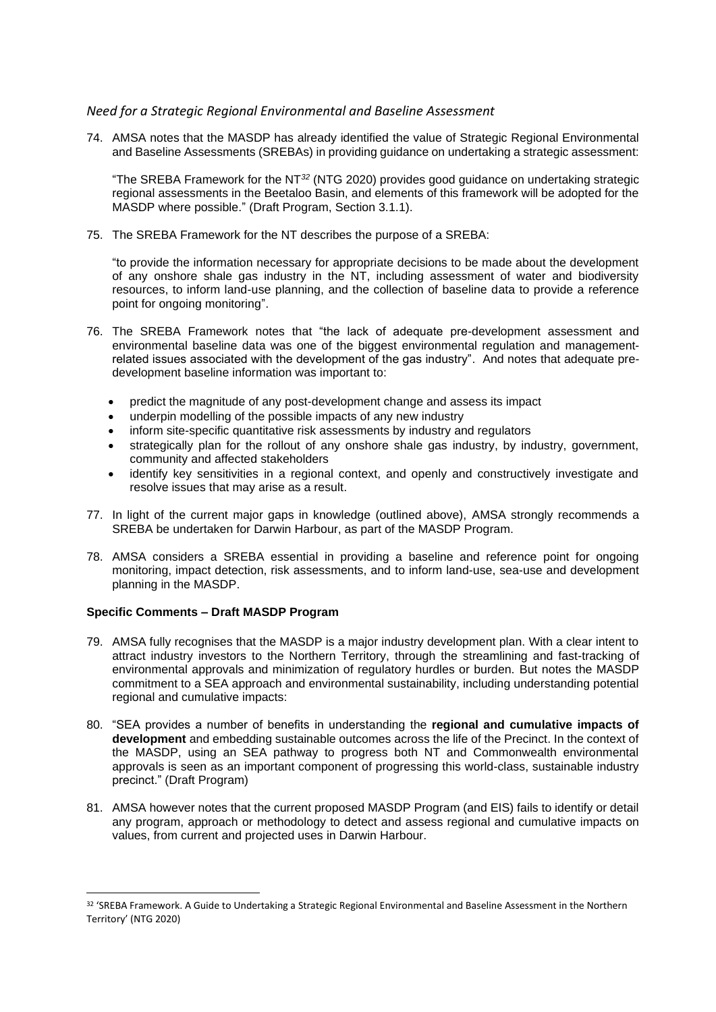### *Need for a Strategic Regional Environmental and Baseline Assessment*

74. AMSA notes that the MASDP has already identified the value of Strategic Regional Environmental and Baseline Assessments (SREBAs) in providing guidance on undertaking a strategic assessment:

"The SREBA Framework for the NT*<sup>32</sup>* (NTG 2020) provides good guidance on undertaking strategic regional assessments in the Beetaloo Basin, and elements of this framework will be adopted for the MASDP where possible." (Draft Program, Section 3.1.1).

75. The SREBA Framework for the NT describes the purpose of a SREBA:

"to provide the information necessary for appropriate decisions to be made about the development of any onshore shale gas industry in the NT, including assessment of water and biodiversity resources, to inform land-use planning, and the collection of baseline data to provide a reference point for ongoing monitoring".

- 76. The SREBA Framework notes that "the lack of adequate pre-development assessment and environmental baseline data was one of the biggest environmental regulation and managementrelated issues associated with the development of the gas industry". And notes that adequate predevelopment baseline information was important to:
	- predict the magnitude of any post-development change and assess its impact
	- underpin modelling of the possible impacts of any new industry
	- inform site-specific quantitative risk assessments by industry and regulators
	- strategically plan for the rollout of any onshore shale gas industry, by industry, government, community and affected stakeholders
	- identify key sensitivities in a regional context, and openly and constructively investigate and resolve issues that may arise as a result.
- 77. In light of the current major gaps in knowledge (outlined above), AMSA strongly recommends a SREBA be undertaken for Darwin Harbour, as part of the MASDP Program.
- 78. AMSA considers a SREBA essential in providing a baseline and reference point for ongoing monitoring, impact detection, risk assessments, and to inform land-use, sea-use and development planning in the MASDP.

### **Specific Comments – Draft MASDP Program**

- 79. AMSA fully recognises that the MASDP is a major industry development plan. With a clear intent to attract industry investors to the Northern Territory, through the streamlining and fast-tracking of environmental approvals and minimization of regulatory hurdles or burden. But notes the MASDP commitment to a SEA approach and environmental sustainability, including understanding potential regional and cumulative impacts:
- 80. "SEA provides a number of benefits in understanding the **regional and cumulative impacts of development** and embedding sustainable outcomes across the life of the Precinct. In the context of the MASDP, using an SEA pathway to progress both NT and Commonwealth environmental approvals is seen as an important component of progressing this world-class, sustainable industry precinct." (Draft Program)
- 81. AMSA however notes that the current proposed MASDP Program (and EIS) fails to identify or detail any program, approach or methodology to detect and assess regional and cumulative impacts on values, from current and projected uses in Darwin Harbour.

<sup>32 &#</sup>x27;SREBA Framework. A Guide to Undertaking a Strategic Regional Environmental and Baseline Assessment in the Northern Territory' (NTG 2020)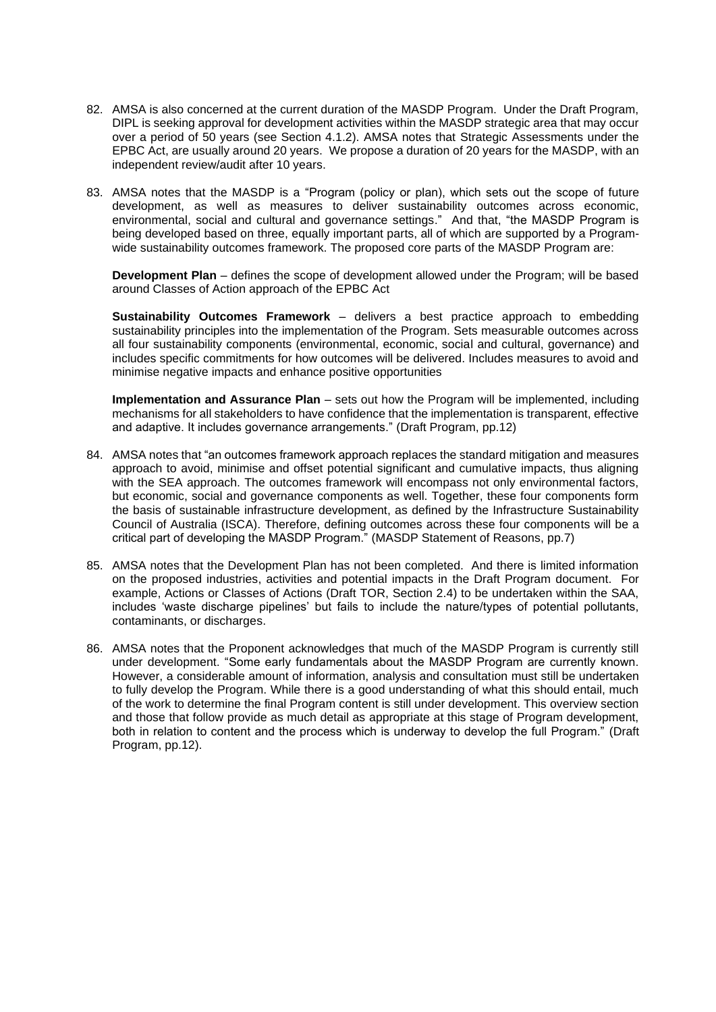- 82. AMSA is also concerned at the current duration of the MASDP Program. Under the Draft Program, DIPL is seeking approval for development activities within the MASDP strategic area that may occur over a period of 50 years (see Section 4.1.2). AMSA notes that Strategic Assessments under the EPBC Act, are usually around 20 years. We propose a duration of 20 years for the MASDP, with an independent review/audit after 10 years.
- 83. AMSA notes that the MASDP is a "Program (policy or plan), which sets out the scope of future development, as well as measures to deliver sustainability outcomes across economic, environmental, social and cultural and governance settings." And that, "the MASDP Program is being developed based on three, equally important parts, all of which are supported by a Programwide sustainability outcomes framework. The proposed core parts of the MASDP Program are:

**Development Plan** – defines the scope of development allowed under the Program; will be based around Classes of Action approach of the EPBC Act

**Sustainability Outcomes Framework** – delivers a best practice approach to embedding sustainability principles into the implementation of the Program. Sets measurable outcomes across all four sustainability components (environmental, economic, social and cultural, governance) and includes specific commitments for how outcomes will be delivered. Includes measures to avoid and minimise negative impacts and enhance positive opportunities

**Implementation and Assurance Plan** – sets out how the Program will be implemented, including mechanisms for all stakeholders to have confidence that the implementation is transparent, effective and adaptive. It includes governance arrangements." (Draft Program, pp.12)

- 84. AMSA notes that "an outcomes framework approach replaces the standard mitigation and measures approach to avoid, minimise and offset potential significant and cumulative impacts, thus aligning with the SEA approach. The outcomes framework will encompass not only environmental factors, but economic, social and governance components as well. Together, these four components form the basis of sustainable infrastructure development, as defined by the Infrastructure Sustainability Council of Australia (ISCA). Therefore, defining outcomes across these four components will be a critical part of developing the MASDP Program." (MASDP Statement of Reasons, pp.7)
- 85. AMSA notes that the Development Plan has not been completed. And there is limited information on the proposed industries, activities and potential impacts in the Draft Program document. For example, Actions or Classes of Actions (Draft TOR, Section 2.4) to be undertaken within the SAA, includes 'waste discharge pipelines' but fails to include the nature/types of potential pollutants, contaminants, or discharges.
- 86. AMSA notes that the Proponent acknowledges that much of the MASDP Program is currently still under development. "Some early fundamentals about the MASDP Program are currently known. However, a considerable amount of information, analysis and consultation must still be undertaken to fully develop the Program. While there is a good understanding of what this should entail, much of the work to determine the final Program content is still under development. This overview section and those that follow provide as much detail as appropriate at this stage of Program development, both in relation to content and the process which is underway to develop the full Program." (Draft Program, pp.12).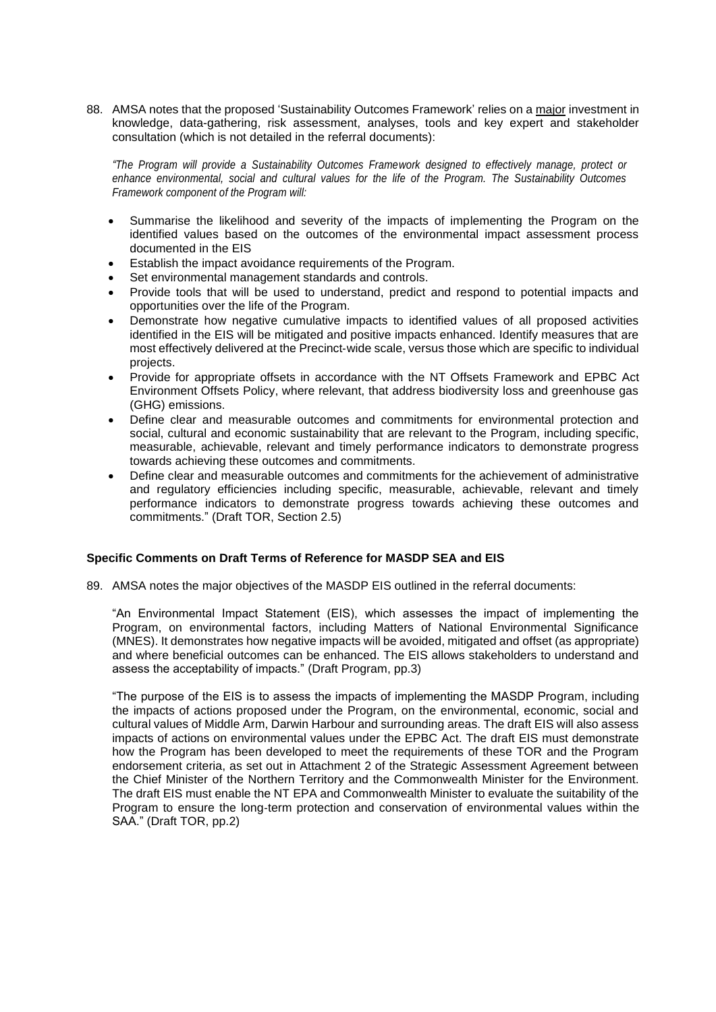88. AMSA notes that the proposed 'Sustainability Outcomes Framework' relies on a major investment in knowledge, data-gathering, risk assessment, analyses, tools and key expert and stakeholder consultation (which is not detailed in the referral documents):

*"The Program will provide a Sustainability Outcomes Framework designed to effectively manage, protect or enhance environmental, social and cultural values for the life of the Program. The Sustainability Outcomes Framework component of the Program will:*

- Summarise the likelihood and severity of the impacts of implementing the Program on the identified values based on the outcomes of the environmental impact assessment process documented in the EIS
- Establish the impact avoidance requirements of the Program.
- Set environmental management standards and controls.
- Provide tools that will be used to understand, predict and respond to potential impacts and opportunities over the life of the Program.
- Demonstrate how negative cumulative impacts to identified values of all proposed activities identified in the EIS will be mitigated and positive impacts enhanced. Identify measures that are most effectively delivered at the Precinct-wide scale, versus those which are specific to individual projects.
- Provide for appropriate offsets in accordance with the NT Offsets Framework and EPBC Act Environment Offsets Policy, where relevant, that address biodiversity loss and greenhouse gas (GHG) emissions.
- Define clear and measurable outcomes and commitments for environmental protection and social, cultural and economic sustainability that are relevant to the Program, including specific, measurable, achievable, relevant and timely performance indicators to demonstrate progress towards achieving these outcomes and commitments.
- Define clear and measurable outcomes and commitments for the achievement of administrative and regulatory efficiencies including specific, measurable, achievable, relevant and timely performance indicators to demonstrate progress towards achieving these outcomes and commitments." (Draft TOR, Section 2.5)

### **Specific Comments on Draft Terms of Reference for MASDP SEA and EIS**

89. AMSA notes the major objectives of the MASDP EIS outlined in the referral documents:

"An Environmental Impact Statement (EIS), which assesses the impact of implementing the Program, on environmental factors, including Matters of National Environmental Significance (MNES). It demonstrates how negative impacts will be avoided, mitigated and offset (as appropriate) and where beneficial outcomes can be enhanced. The EIS allows stakeholders to understand and assess the acceptability of impacts." (Draft Program, pp.3)

"The purpose of the EIS is to assess the impacts of implementing the MASDP Program, including the impacts of actions proposed under the Program, on the environmental, economic, social and cultural values of Middle Arm, Darwin Harbour and surrounding areas. The draft EIS will also assess impacts of actions on environmental values under the EPBC Act. The draft EIS must demonstrate how the Program has been developed to meet the requirements of these TOR and the Program endorsement criteria, as set out in Attachment 2 of the Strategic Assessment Agreement between the Chief Minister of the Northern Territory and the Commonwealth Minister for the Environment. The draft EIS must enable the NT EPA and Commonwealth Minister to evaluate the suitability of the Program to ensure the long-term protection and conservation of environmental values within the SAA." (Draft TOR, pp.2)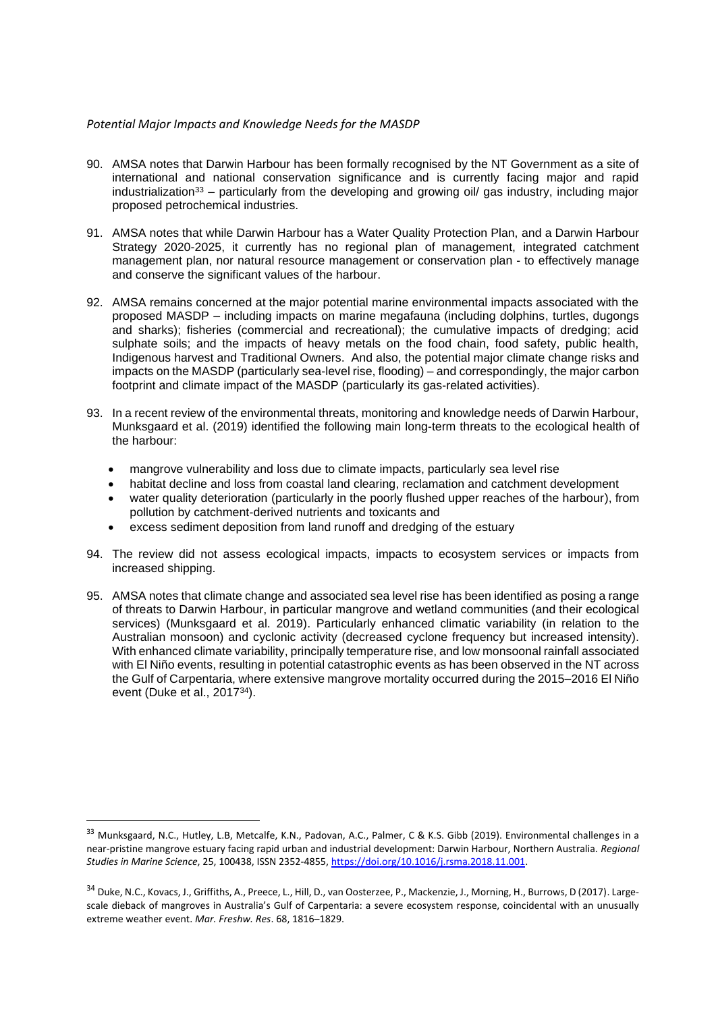#### *Potential Major Impacts and Knowledge Needs for the MASDP*

- 90. AMSA notes that Darwin Harbour has been formally recognised by the NT Government as a site of international and national conservation significance and is currently facing major and rapid industrialization<sup>33</sup> – particularly from the developing and growing oil/ gas industry, including major proposed petrochemical industries.
- 91. AMSA notes that while Darwin Harbour has a Water Quality Protection Plan, and a Darwin Harbour Strategy 2020-2025, it currently has no regional plan of management, integrated catchment management plan, nor natural resource management or conservation plan - to effectively manage and conserve the significant values of the harbour.
- 92. AMSA remains concerned at the major potential marine environmental impacts associated with the proposed MASDP – including impacts on marine megafauna (including dolphins, turtles, dugongs and sharks); fisheries (commercial and recreational); the cumulative impacts of dredging; acid sulphate soils; and the impacts of heavy metals on the food chain, food safety, public health, Indigenous harvest and Traditional Owners. And also, the potential major climate change risks and impacts on the MASDP (particularly sea-level rise, flooding) – and correspondingly, the major carbon footprint and climate impact of the MASDP (particularly its gas-related activities).
- 93. In a recent review of the environmental threats, monitoring and knowledge needs of Darwin Harbour, Munksgaard et al. (2019) identified the following main long-term threats to the ecological health of the harbour:
	- mangrove vulnerability and loss due to climate impacts, particularly sea level rise
	- habitat decline and loss from coastal land clearing, reclamation and catchment development
	- water quality deterioration (particularly in the poorly flushed upper reaches of the harbour), from pollution by catchment-derived nutrients and toxicants and
	- excess sediment deposition from land runoff and dredging of the estuary
- 94. The review did not assess ecological impacts, impacts to ecosystem services or impacts from increased shipping.
- 95. AMSA notes that climate change and associated sea level rise has been identified as posing a range of threats to Darwin Harbour, in particular mangrove and wetland communities (and their ecological services) (Munksgaard et al. 2019). Particularly enhanced climatic variability (in relation to the Australian monsoon) and cyclonic activity (decreased cyclone frequency but increased intensity). With enhanced climate variability, principally temperature rise, and low monsoonal rainfall associated with El Niño events, resulting in potential catastrophic events as has been observed in the NT across the Gulf of Carpentaria, where extensive mangrove mortality occurred during the 2015–2016 El Niño event (Duke et al., 2017<sup>34</sup>).

<sup>33</sup> Munksgaard, N.C., Hutley, L.B, Metcalfe, K.N., Padovan, A.C., Palmer, C & K.S. Gibb (2019). Environmental challenges in a near-pristine mangrove estuary facing rapid urban and industrial development: Darwin Harbour, Northern Australia. *Regional Studies in Marine Science*, 25, 100438, ISSN 2352-4855[, https://doi.org/10.1016/j.rsma.2018.11.001.](https://doi.org/10.1016/j.rsma.2018.11.001)

<sup>&</sup>lt;sup>34</sup> Duke, N.C., Kovacs, J., Griffiths, A., Preece, L., Hill, D., van Oosterzee, P., Mackenzie, J., Morning, H., Burrows, D (2017). Largescale dieback of mangroves in Australia's Gulf of Carpentaria: a severe ecosystem response, coincidental with an unusually extreme weather event. *Mar. Freshw. Res*. 68, 1816–1829.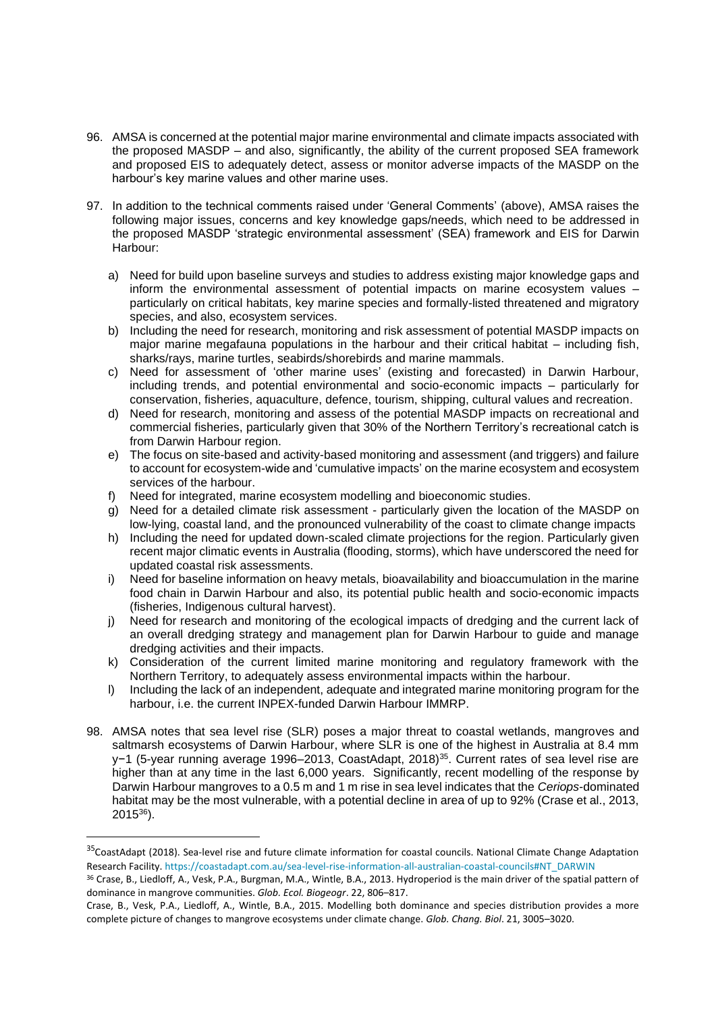- 96. AMSA is concerned at the potential major marine environmental and climate impacts associated with the proposed MASDP – and also, significantly, the ability of the current proposed SEA framework and proposed EIS to adequately detect, assess or monitor adverse impacts of the MASDP on the harbour's key marine values and other marine uses.
- 97. In addition to the technical comments raised under 'General Comments' (above), AMSA raises the following major issues, concerns and key knowledge gaps/needs, which need to be addressed in the proposed MASDP 'strategic environmental assessment' (SEA) framework and EIS for Darwin Harbour:
	- a) Need for build upon baseline surveys and studies to address existing major knowledge gaps and inform the environmental assessment of potential impacts on marine ecosystem values – particularly on critical habitats, key marine species and formally-listed threatened and migratory species, and also, ecosystem services.
	- b) Including the need for research, monitoring and risk assessment of potential MASDP impacts on major marine megafauna populations in the harbour and their critical habitat – including fish, sharks/rays, marine turtles, seabirds/shorebirds and marine mammals.
	- c) Need for assessment of 'other marine uses' (existing and forecasted) in Darwin Harbour, including trends, and potential environmental and socio-economic impacts – particularly for conservation, fisheries, aquaculture, defence, tourism, shipping, cultural values and recreation.
	- d) Need for research, monitoring and assess of the potential MASDP impacts on recreational and commercial fisheries, particularly given that 30% of the Northern Territory's recreational catch is from Darwin Harbour region.
	- e) The focus on site-based and activity-based monitoring and assessment (and triggers) and failure to account for ecosystem-wide and 'cumulative impacts' on the marine ecosystem and ecosystem services of the harbour.
	- f) Need for integrated, marine ecosystem modelling and bioeconomic studies.
	- g) Need for a detailed climate risk assessment particularly given the location of the MASDP on low-lying, coastal land, and the pronounced vulnerability of the coast to climate change impacts
	- h) Including the need for updated down-scaled climate projections for the region. Particularly given recent major climatic events in Australia (flooding, storms), which have underscored the need for updated coastal risk assessments.
	- i) Need for baseline information on heavy metals, bioavailability and bioaccumulation in the marine food chain in Darwin Harbour and also, its potential public health and socio-economic impacts (fisheries, Indigenous cultural harvest).
	- j) Need for research and monitoring of the ecological impacts of dredging and the current lack of an overall dredging strategy and management plan for Darwin Harbour to guide and manage dredging activities and their impacts.
	- k) Consideration of the current limited marine monitoring and regulatory framework with the Northern Territory, to adequately assess environmental impacts within the harbour.
	- l) Including the lack of an independent, adequate and integrated marine monitoring program for the harbour, i.e. the current INPEX-funded Darwin Harbour IMMRP.
- 98. AMSA notes that sea level rise (SLR) poses a major threat to coastal wetlands, mangroves and saltmarsh ecosystems of Darwin Harbour, where SLR is one of the highest in Australia at 8.4 mm y−1 (5-year running average 1996–2013, CoastAdapt, 2018)<sup>35</sup>. Current rates of sea level rise are higher than at any time in the last 6,000 years. Significantly, recent modelling of the response by Darwin Harbour mangroves to a 0.5 m and 1 m rise in sea level indicates that the *Ceriops*-dominated habitat may be the most vulnerable, with a potential decline in area of up to 92% (Crase et al., 2013, 2015<sup>36</sup>).

<sup>&</sup>lt;sup>35</sup>CoastAdapt (2018). Sea-level rise and future climate information for coastal councils. National Climate Change Adaptation Research Facility. https://coastadapt.com.au/sea-level-rise-information-all-australian-coastal-councils#NT\_DARWIN 36 Crase, B., Liedloff, A., Vesk, P.A., Burgman, M.A., Wintle, B.A., 2013. Hydroperiod is the main driver of the spatial pattern of

dominance in mangrove communities. *Glob. Ecol. Biogeogr*. 22, 806–817.

Crase, B., Vesk, P.A., Liedloff, A., Wintle, B.A., 2015. Modelling both dominance and species distribution provides a more complete picture of changes to mangrove ecosystems under climate change. *Glob. Chang. Biol*. 21, 3005–3020.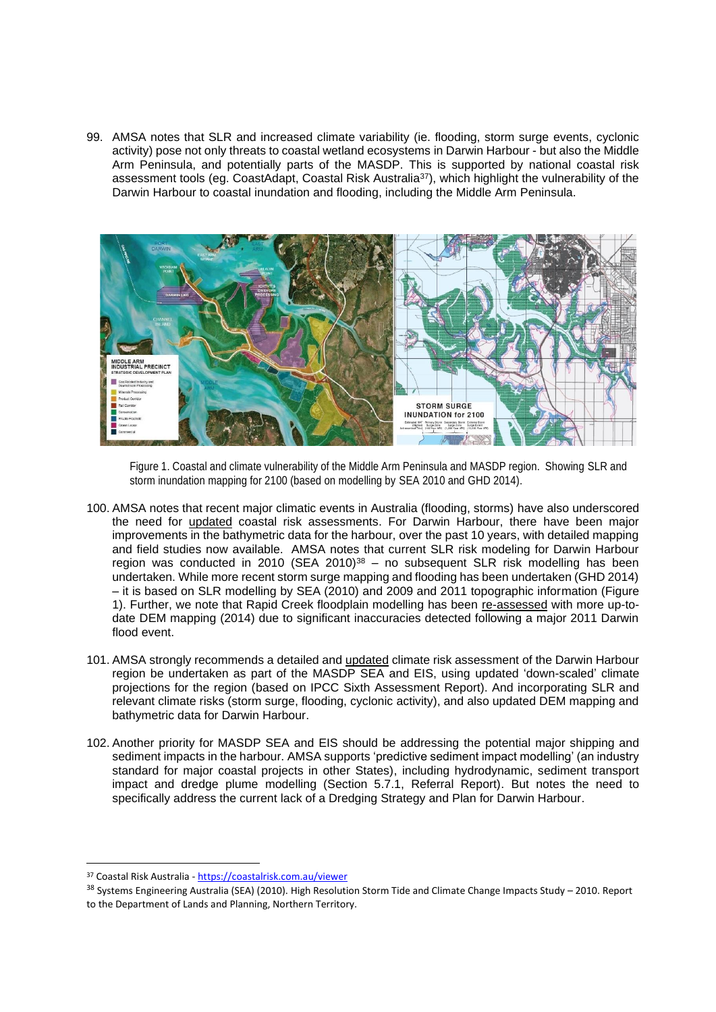99. AMSA notes that SLR and increased climate variability (ie. flooding, storm surge events, cyclonic activity) pose not only threats to coastal wetland ecosystems in Darwin Harbour - but also the Middle Arm Peninsula, and potentially parts of the MASDP. This is supported by national coastal risk assessment tools (eg. CoastAdapt, Coastal Risk Australia<sup>37</sup>), which highlight the vulnerability of the Darwin Harbour to coastal inundation and flooding, including the Middle Arm Peninsula.



Figure 1. Coastal and climate vulnerability of the Middle Arm Peninsula and MASDP region. Showing SLR and storm inundation mapping for 2100 (based on modelling by SEA 2010 and GHD 2014).

- 100. AMSA notes that recent major climatic events in Australia (flooding, storms) have also underscored the need for updated coastal risk assessments. For Darwin Harbour, there have been major improvements in the bathymetric data for the harbour, over the past 10 years, with detailed mapping and field studies now available. AMSA notes that current SLR risk modeling for Darwin Harbour region was conducted in 2010 (SEA 2010)<sup>38</sup> – no subsequent SLR risk modelling has been undertaken. While more recent storm surge mapping and flooding has been undertaken (GHD 2014) – it is based on SLR modelling by SEA (2010) and 2009 and 2011 topographic information (Figure 1). Further, we note that Rapid Creek floodplain modelling has been re-assessed with more up-todate DEM mapping (2014) due to significant inaccuracies detected following a major 2011 Darwin flood event.
- 101. AMSA strongly recommends a detailed and updated climate risk assessment of the Darwin Harbour region be undertaken as part of the MASDP SEA and EIS, using updated 'down-scaled' climate projections for the region (based on IPCC Sixth Assessment Report). And incorporating SLR and relevant climate risks (storm surge, flooding, cyclonic activity), and also updated DEM mapping and bathymetric data for Darwin Harbour.
- 102. Another priority for MASDP SEA and EIS should be addressing the potential major shipping and sediment impacts in the harbour. AMSA supports 'predictive sediment impact modelling' (an industry standard for major coastal projects in other States), including hydrodynamic, sediment transport impact and dredge plume modelling (Section 5.7.1, Referral Report). But notes the need to specifically address the current lack of a Dredging Strategy and Plan for Darwin Harbour.

<sup>37</sup> Coastal Risk Australia - <https://coastalrisk.com.au/viewer>

<sup>38</sup> Systems Engineering Australia (SEA) (2010). High Resolution Storm Tide and Climate Change Impacts Study – 2010. Report to the Department of Lands and Planning, Northern Territory.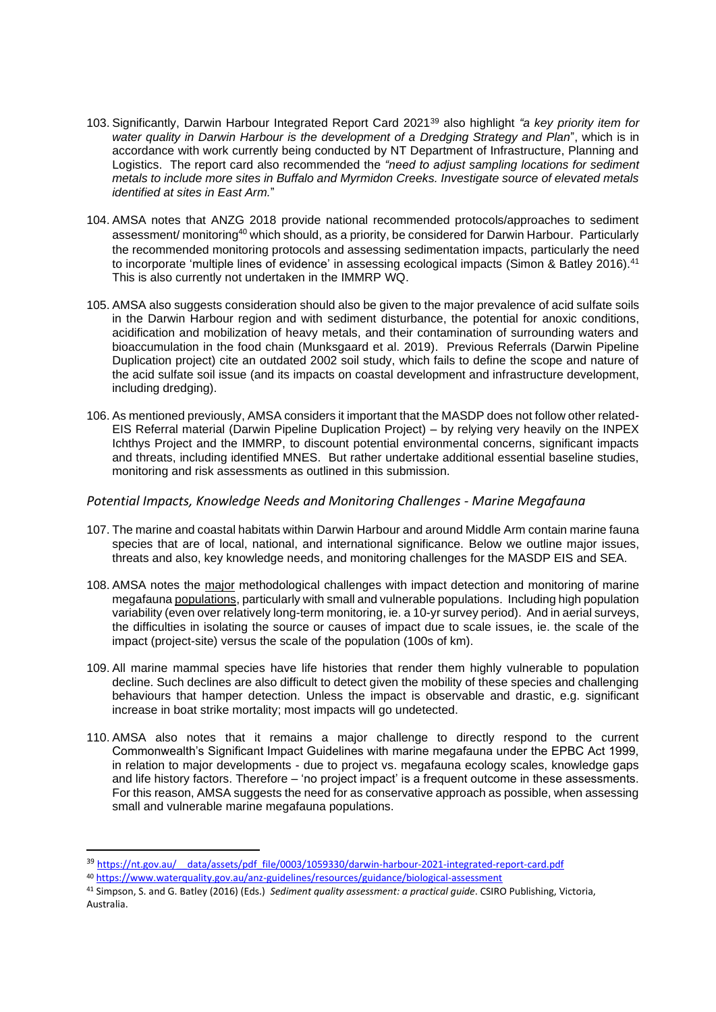- 103. Significantly, Darwin Harbour Integrated Report Card 2021<sup>39</sup> also highlight *"a key priority item for water quality in Darwin Harbour is the development of a Dredging Strategy and Plan*", which is in accordance with work currently being conducted by NT Department of Infrastructure, Planning and Logistics. The report card also recommended the *"need to adjust sampling locations for sediment metals to include more sites in Buffalo and Myrmidon Creeks. Investigate source of elevated metals identified at sites in East Arm.*"
- 104. AMSA notes that ANZG 2018 provide national recommended protocols/approaches to sediment assessment/ monitoring<sup>40</sup> which should, as a priority, be considered for Darwin Harbour. Particularly the recommended monitoring protocols and assessing sedimentation impacts, particularly the need to incorporate 'multiple lines of evidence' in assessing ecological impacts (Simon & Batley 2016).<sup>41</sup> This is also currently not undertaken in the IMMRP WQ.
- 105. AMSA also suggests consideration should also be given to the major prevalence of acid sulfate soils in the Darwin Harbour region and with sediment disturbance, the potential for anoxic conditions, acidification and mobilization of heavy metals, and their contamination of surrounding waters and bioaccumulation in the food chain (Munksgaard et al. 2019). Previous Referrals (Darwin Pipeline Duplication project) cite an outdated 2002 soil study, which fails to define the scope and nature of the acid sulfate soil issue (and its impacts on coastal development and infrastructure development, including dredging).
- 106. As mentioned previously, AMSA considers it important that the MASDP does not follow other related-EIS Referral material (Darwin Pipeline Duplication Project) – by relying very heavily on the INPEX Ichthys Project and the IMMRP, to discount potential environmental concerns, significant impacts and threats, including identified MNES. But rather undertake additional essential baseline studies, monitoring and risk assessments as outlined in this submission.

# *Potential Impacts, Knowledge Needs and Monitoring Challenges - Marine Megafauna*

- 107. The marine and coastal habitats within Darwin Harbour and around Middle Arm contain marine fauna species that are of local, national, and international significance. Below we outline major issues, threats and also, key knowledge needs, and monitoring challenges for the MASDP EIS and SEA.
- 108. AMSA notes the major methodological challenges with impact detection and monitoring of marine megafauna populations, particularly with small and vulnerable populations. Including high population variability (even over relatively long-term monitoring, ie. a 10-yr survey period). And in aerial surveys, the difficulties in isolating the source or causes of impact due to scale issues, ie. the scale of the impact (project-site) versus the scale of the population (100s of km).
- 109. All marine mammal species have life histories that render them highly vulnerable to population decline. Such declines are also difficult to detect given the mobility of these species and challenging behaviours that hamper detection. Unless the impact is observable and drastic, e.g. significant increase in boat strike mortality; most impacts will go undetected.
- 110. AMSA also notes that it remains a major challenge to directly respond to the current Commonwealth's Significant Impact Guidelines with marine megafauna under the EPBC Act 1999, in relation to major developments - due to project vs. megafauna ecology scales, knowledge gaps and life history factors. Therefore – 'no project impact' is a frequent outcome in these assessments. For this reason, AMSA suggests the need for as conservative approach as possible, when assessing small and vulnerable marine megafauna populations.

<sup>39</sup> https://nt.gov.au/ data/assets/pdf\_file/0003/1059330/darwin-harbour-2021-integrated-report-card.pdf

<sup>40</sup> <https://www.waterquality.gov.au/anz-guidelines/resources/guidance/biological-assessment>

<sup>41</sup> Simpson, S. and G. Batley (2016) (Eds.) *Sediment quality assessment: a practical guide*. CSIRO Publishing, Victoria, Australia.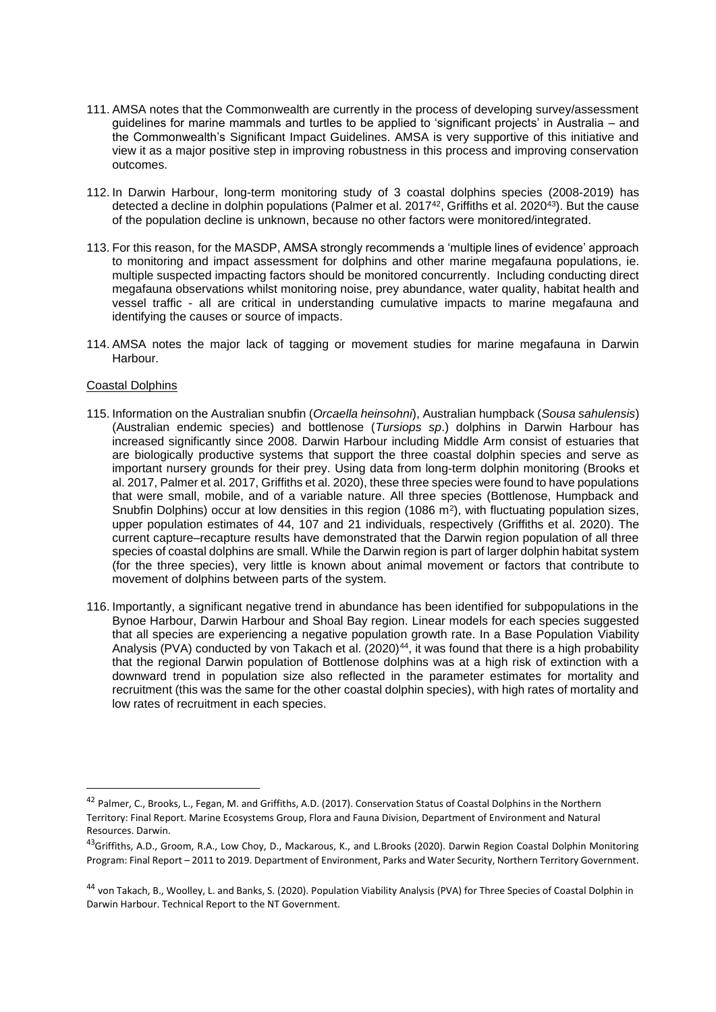- 111. AMSA notes that the Commonwealth are currently in the process of developing survey/assessment guidelines for marine mammals and turtles to be applied to 'significant projects' in Australia – and the Commonwealth's Significant Impact Guidelines. AMSA is very supportive of this initiative and view it as a major positive step in improving robustness in this process and improving conservation outcomes.
- 112. In Darwin Harbour, long-term monitoring study of 3 coastal dolphins species (2008-2019) has detected a decline in dolphin populations (Palmer et al. 2017<sup>42</sup>, Griffiths et al. 2020<sup>43</sup>). But the cause of the population decline is unknown, because no other factors were monitored/integrated.
- 113. For this reason, for the MASDP, AMSA strongly recommends a 'multiple lines of evidence' approach to monitoring and impact assessment for dolphins and other marine megafauna populations, ie. multiple suspected impacting factors should be monitored concurrently. Including conducting direct megafauna observations whilst monitoring noise, prey abundance, water quality, habitat health and vessel traffic - all are critical in understanding cumulative impacts to marine megafauna and identifying the causes or source of impacts.
- 114. AMSA notes the major lack of tagging or movement studies for marine megafauna in Darwin Harbour.

#### Coastal Dolphins

- 115. Information on the Australian snubfin (*Orcaella heinsohni*), Australian humpback (*Sousa sahulensis*) (Australian endemic species) and bottlenose (*Tursiops sp*.) dolphins in Darwin Harbour has increased significantly since 2008. Darwin Harbour including Middle Arm consist of estuaries that are biologically productive systems that support the three coastal dolphin species and serve as important nursery grounds for their prey. Using data from long-term dolphin monitoring (Brooks et al. 2017, Palmer et al. 2017, Griffiths et al. 2020), these three species were found to have populations that were small, mobile, and of a variable nature. All three species (Bottlenose, Humpback and Snubfin Dolphins) occur at low densities in this region  $(1086 \text{ m}^2)$ , with fluctuating population sizes, upper population estimates of 44, 107 and 21 individuals, respectively (Griffiths et al. 2020). The current capture–recapture results have demonstrated that the Darwin region population of all three species of coastal dolphins are small. While the Darwin region is part of larger dolphin habitat system (for the three species), very little is known about animal movement or factors that contribute to movement of dolphins between parts of the system.
- 116. Importantly, a significant negative trend in abundance has been identified for subpopulations in the Bynoe Harbour, Darwin Harbour and Shoal Bay region. Linear models for each species suggested that all species are experiencing a negative population growth rate. In a Base Population Viability Analysis (PVA) conducted by von Takach et al. (2020)<sup>44</sup>, it was found that there is a high probability that the regional Darwin population of Bottlenose dolphins was at a high risk of extinction with a downward trend in population size also reflected in the parameter estimates for mortality and recruitment (this was the same for the other coastal dolphin species), with high rates of mortality and low rates of recruitment in each species.

<sup>&</sup>lt;sup>42</sup> Palmer, C., Brooks, L., Fegan, M. and Griffiths, A.D. (2017). Conservation Status of Coastal Dolphins in the Northern Territory: Final Report. Marine Ecosystems Group, Flora and Fauna Division, Department of Environment and Natural Resources. Darwin.

<sup>&</sup>lt;sup>43</sup>Griffiths, A.D., Groom, R.A., Low Choy, D., Mackarous, K., and L.Brooks (2020). Darwin Region Coastal Dolphin Monitoring Program: Final Report – 2011 to 2019. Department of Environment, Parks and Water Security, Northern Territory Government.

<sup>44</sup> von Takach, B., Woolley, L. and Banks, S. (2020). Population Viability Analysis (PVA) for Three Species of Coastal Dolphin in Darwin Harbour. Technical Report to the NT Government.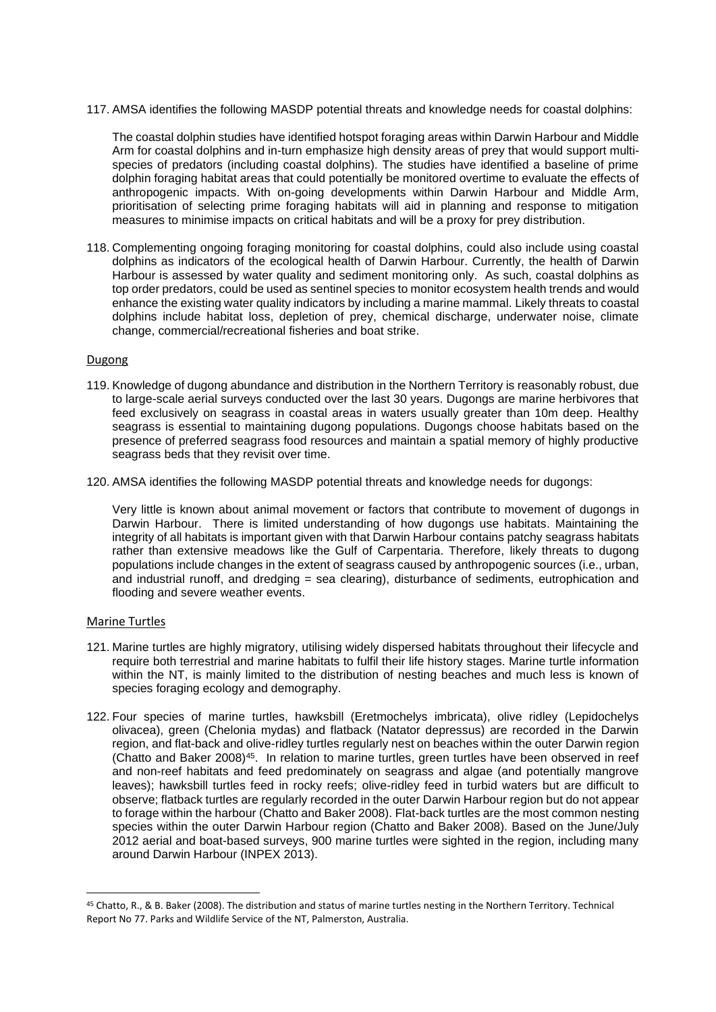117. AMSA identifies the following MASDP potential threats and knowledge needs for coastal dolphins:

The coastal dolphin studies have identified hotspot foraging areas within Darwin Harbour and Middle Arm for coastal dolphins and in-turn emphasize high density areas of prey that would support multispecies of predators (including coastal dolphins). The studies have identified a baseline of prime dolphin foraging habitat areas that could potentially be monitored overtime to evaluate the effects of anthropogenic impacts. With on-going developments within Darwin Harbour and Middle Arm, prioritisation of selecting prime foraging habitats will aid in planning and response to mitigation measures to minimise impacts on critical habitats and will be a proxy for prey distribution.

118. Complementing ongoing foraging monitoring for coastal dolphins, could also include using coastal dolphins as indicators of the ecological health of Darwin Harbour. Currently, the health of Darwin Harbour is assessed by water quality and sediment monitoring only. As such, coastal dolphins as top order predators, could be used as sentinel species to monitor ecosystem health trends and would enhance the existing water quality indicators by including a marine mammal. Likely threats to coastal dolphins include habitat loss, depletion of prey, chemical discharge, underwater noise, climate change, commercial/recreational fisheries and boat strike.

#### Dugong

- 119. Knowledge of dugong abundance and distribution in the Northern Territory is reasonably robust, due to large-scale aerial surveys conducted over the last 30 years. Dugongs are marine herbivores that feed exclusively on seagrass in coastal areas in waters usually greater than 10m deep. Healthy seagrass is essential to maintaining dugong populations. Dugongs choose habitats based on the presence of preferred seagrass food resources and maintain a spatial memory of highly productive seagrass beds that they revisit over time.
- 120. AMSA identifies the following MASDP potential threats and knowledge needs for dugongs:

Very little is known about animal movement or factors that contribute to movement of dugongs in Darwin Harbour. There is limited understanding of how dugongs use habitats. Maintaining the integrity of all habitats is important given with that Darwin Harbour contains patchy seagrass habitats rather than extensive meadows like the Gulf of Carpentaria. Therefore, likely threats to dugong populations include changes in the extent of seagrass caused by anthropogenic sources (i.e., urban, and industrial runoff, and dredging = sea clearing), disturbance of sediments, eutrophication and flooding and severe weather events.

### Marine Turtles

- 121. Marine turtles are highly migratory, utilising widely dispersed habitats throughout their lifecycle and require both terrestrial and marine habitats to fulfil their life history stages. Marine turtle information within the NT, is mainly limited to the distribution of nesting beaches and much less is known of species foraging ecology and demography.
- 122. Four species of marine turtles, hawksbill (Eretmochelys imbricata), olive ridley (Lepidochelys olivacea), green (Chelonia mydas) and flatback (Natator depressus) are recorded in the Darwin region, and flat-back and olive-ridley turtles regularly nest on beaches within the outer Darwin region (Chatto and Baker 2008)<sup>45</sup>. In relation to marine turtles, green turtles have been observed in reef and non-reef habitats and feed predominately on seagrass and algae (and potentially mangrove leaves); hawksbill turtles feed in rocky reefs; olive-ridley feed in turbid waters but are difficult to observe; flatback turtles are regularly recorded in the outer Darwin Harbour region but do not appear to forage within the harbour (Chatto and Baker 2008). Flat-back turtles are the most common nesting species within the outer Darwin Harbour region (Chatto and Baker 2008). Based on the June/July 2012 aerial and boat-based surveys, 900 marine turtles were sighted in the region, including many around Darwin Harbour (INPEX 2013).

<sup>45</sup> Chatto, R., & B. Baker (2008). The distribution and status of marine turtles nesting in the Northern Territory. Technical Report No 77. Parks and Wildlife Service of the NT, Palmerston, Australia.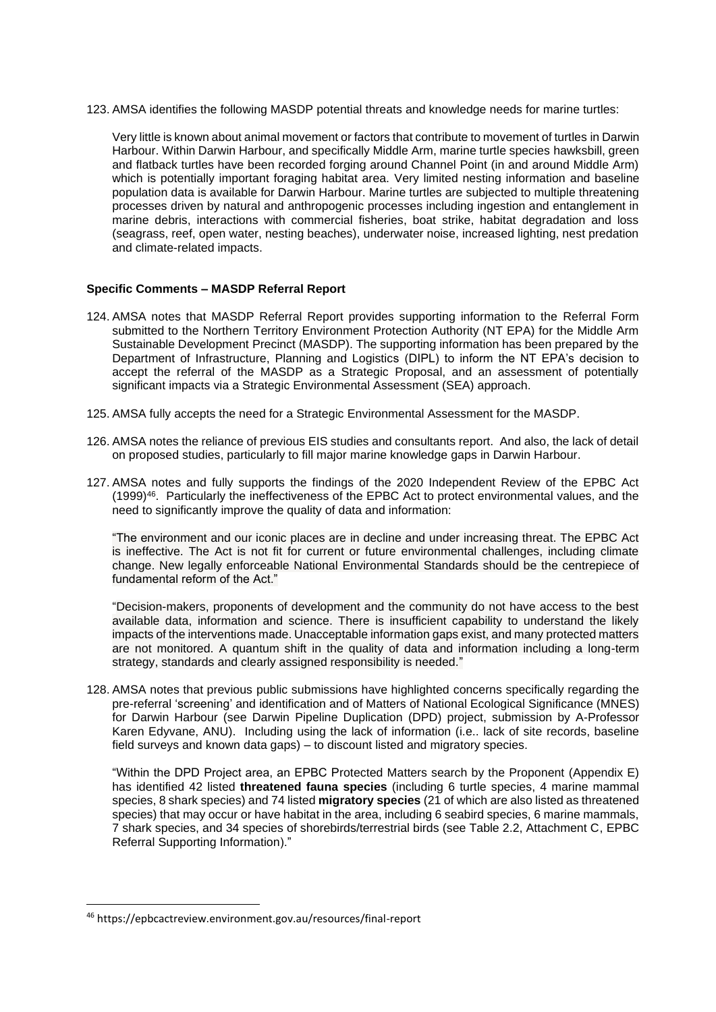123. AMSA identifies the following MASDP potential threats and knowledge needs for marine turtles:

Very little is known about animal movement or factors that contribute to movement of turtles in Darwin Harbour. Within Darwin Harbour, and specifically Middle Arm, marine turtle species hawksbill, green and flatback turtles have been recorded forging around Channel Point (in and around Middle Arm) which is potentially important foraging habitat area. Very limited nesting information and baseline population data is available for Darwin Harbour. Marine turtles are subjected to multiple threatening processes driven by natural and anthropogenic processes including ingestion and entanglement in marine debris, interactions with commercial fisheries, boat strike, habitat degradation and loss (seagrass, reef, open water, nesting beaches), underwater noise, increased lighting, nest predation and climate-related impacts.

# **Specific Comments – MASDP Referral Report**

- 124. AMSA notes that MASDP Referral Report provides supporting information to the Referral Form submitted to the Northern Territory Environment Protection Authority (NT EPA) for the Middle Arm Sustainable Development Precinct (MASDP). The supporting information has been prepared by the Department of Infrastructure, Planning and Logistics (DIPL) to inform the NT EPA's decision to accept the referral of the MASDP as a Strategic Proposal, and an assessment of potentially significant impacts via a Strategic Environmental Assessment (SEA) approach.
- 125. AMSA fully accepts the need for a Strategic Environmental Assessment for the MASDP.
- 126. AMSA notes the reliance of previous EIS studies and consultants report. And also, the lack of detail on proposed studies, particularly to fill major marine knowledge gaps in Darwin Harbour.
- 127. AMSA notes and fully supports the findings of the 2020 Independent Review of the EPBC Act (1999)<sup>46</sup>. Particularly the ineffectiveness of the EPBC Act to protect environmental values, and the need to significantly improve the quality of data and information:

"The environment and our iconic places are in decline and under increasing threat. The EPBC Act is ineffective. The Act is not fit for current or future environmental challenges, including climate change. New legally enforceable National Environmental Standards should be the centrepiece of fundamental reform of the Act."

"Decision-makers, proponents of development and the community do not have access to the best available data, information and science. There is insufficient capability to understand the likely impacts of the interventions made. Unacceptable information gaps exist, and many protected matters are not monitored. A quantum shift in the quality of data and information including a long-term strategy, standards and clearly assigned responsibility is needed."

128. AMSA notes that previous public submissions have highlighted concerns specifically regarding the pre-referral 'screening' and identification and of Matters of National Ecological Significance (MNES) for Darwin Harbour (see Darwin Pipeline Duplication (DPD) project, submission by A-Professor Karen Edyvane, ANU). Including using the lack of information (i.e.. lack of site records, baseline field surveys and known data gaps) – to discount listed and migratory species.

"Within the DPD Project area, an EPBC Protected Matters search by the Proponent (Appendix E) has identified 42 listed **threatened fauna species** (including 6 turtle species, 4 marine mammal species, 8 shark species) and 74 listed **migratory species** (21 of which are also listed as threatened species) that may occur or have habitat in the area, including 6 seabird species, 6 marine mammals, 7 shark species, and 34 species of shorebirds/terrestrial birds (see Table 2.2, Attachment C, EPBC Referral Supporting Information)."

<sup>46</sup> https://epbcactreview.environment.gov.au/resources/final-report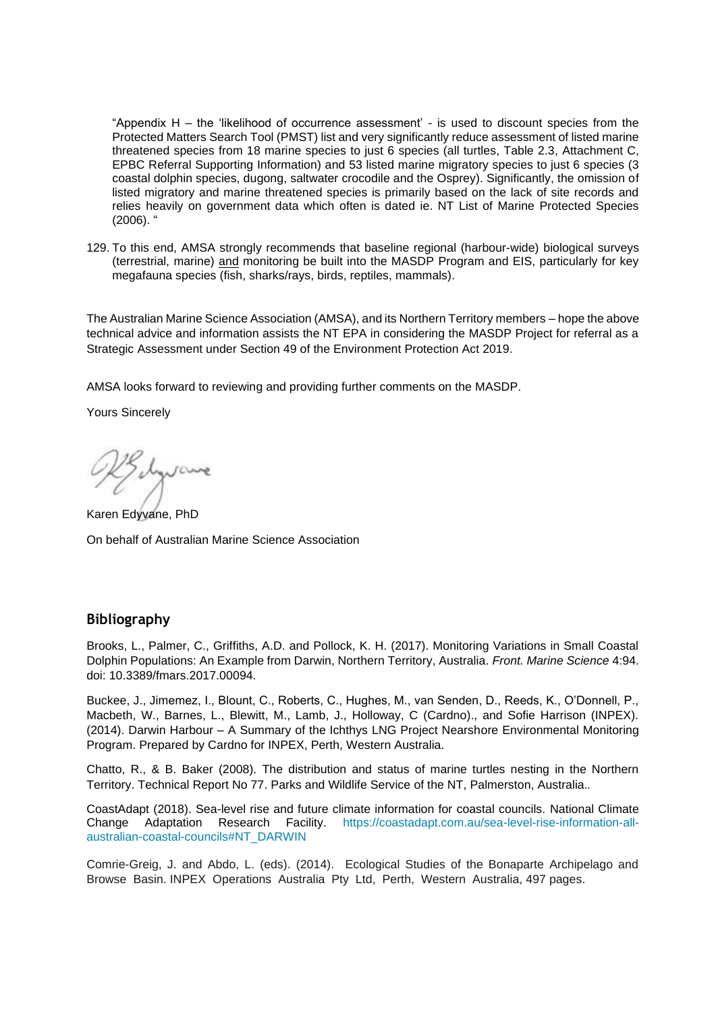"Appendix H – the 'likelihood of occurrence assessment' - is used to discount species from the Protected Matters Search Tool (PMST) list and very significantly reduce assessment of listed marine threatened species from 18 marine species to just 6 species (all turtles, Table 2.3, Attachment C, EPBC Referral Supporting Information) and 53 listed marine migratory species to just 6 species (3 coastal dolphin species, dugong, saltwater crocodile and the Osprey). Significantly, the omission of listed migratory and marine threatened species is primarily based on the lack of site records and relies heavily on government data which often is dated ie. NT List of Marine Protected Species (2006). "

129. To this end, AMSA strongly recommends that baseline regional (harbour-wide) biological surveys (terrestrial, marine) and monitoring be built into the MASDP Program and EIS, particularly for key megafauna species (fish, sharks/rays, birds, reptiles, mammals).

The Australian Marine Science Association (AMSA), and its Northern Territory members – hope the above technical advice and information assists the NT EPA in considering the MASDP Project for referral as a Strategic Assessment under Section 49 of the Environment Protection Act 2019.

AMSA looks forward to reviewing and providing further comments on the MASDP.

Yours Sincerely

Karen Edyvane, PhD On behalf of Australian Marine Science Association

# **Bibliography**

Brooks, L., Palmer, C., Griffiths, A.D. and Pollock, K. H. (2017). Monitoring Variations in Small Coastal Dolphin Populations: An Example from Darwin, Northern Territory, Australia. *Front. Marine Science* 4:94. doi: 10.3389/fmars.2017.00094.

Buckee, J., Jimemez, I., Blount, C., Roberts, C., Hughes, M., van Senden, D., Reeds, K., O'Donnell, P., Macbeth, W., Barnes, L., Blewitt, M., Lamb, J., Holloway, C (Cardno)., and Sofie Harrison (INPEX). (2014). Darwin Harbour – A Summary of the Ichthys LNG Project Nearshore Environmental Monitoring Program. Prepared by Cardno for INPEX, Perth, Western Australia.

Chatto, R., & B. Baker (2008). The distribution and status of marine turtles nesting in the Northern Territory. Technical Report No 77. Parks and Wildlife Service of the NT, Palmerston, Australia.*.* 

CoastAdapt (2018). Sea-level rise and future climate information for coastal councils. National Climate Change Adaptation Research Facility. https://coastadapt.com.au/sea-level-rise-information-allaustralian-coastal-councils#NT\_DARWIN

Comrie-Greig, J. and Abdo, L. (eds). (2014). Ecological Studies of the Bonaparte Archipelago and Browse Basin. INPEX Operations Australia Pty Ltd, Perth, Western Australia, 497 pages.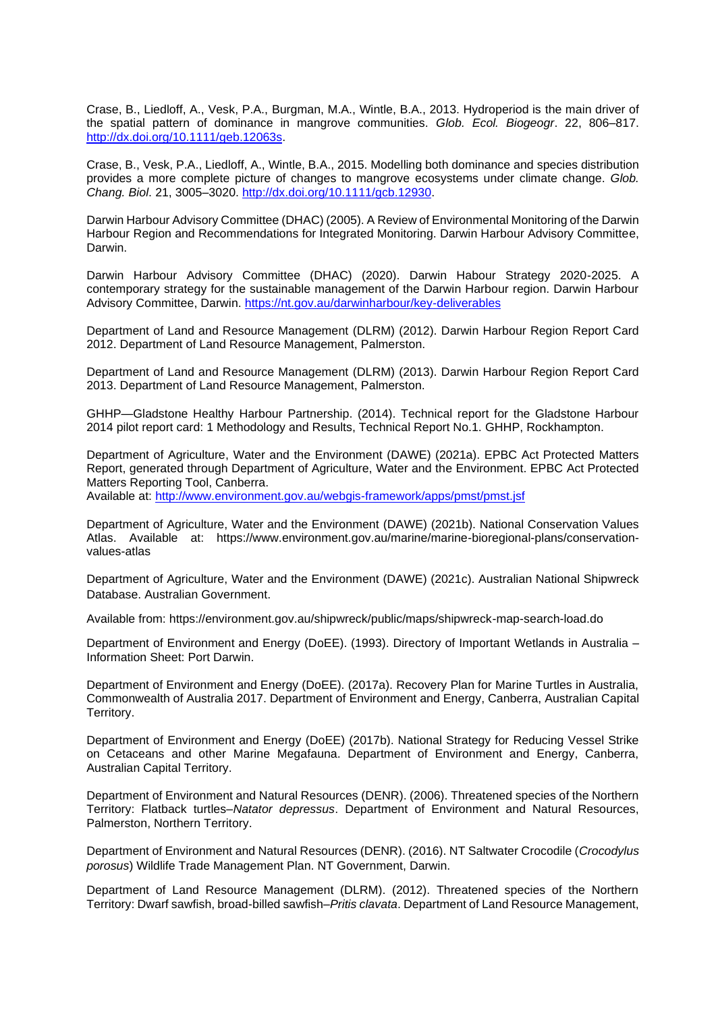Crase, B., Liedloff, A., Vesk, P.A., Burgman, M.A., Wintle, B.A., 2013. Hydroperiod is the main driver of the spatial pattern of dominance in mangrove communities. *Glob. Ecol. Biogeogr*. 22, 806–817. [http://dx.doi.org/10.1111/geb.12063s.](http://dx.doi.org/10.1111/geb.12063s)

Crase, B., Vesk, P.A., Liedloff, A., Wintle, B.A., 2015. Modelling both dominance and species distribution provides a more complete picture of changes to mangrove ecosystems under climate change. *Glob. Chang. Biol*. 21, 3005–3020. [http://dx.doi.org/10.1111/gcb.12930.](http://dx.doi.org/10.1111/gcb.12930)

Darwin Harbour Advisory Committee (DHAC) (2005). A Review of Environmental Monitoring of the Darwin Harbour Region and Recommendations for Integrated Monitoring. Darwin Harbour Advisory Committee, Darwin.

Darwin Harbour Advisory Committee (DHAC) (2020). Darwin Habour Strategy 2020-2025. A contemporary strategy for the sustainable management of the Darwin Harbour region. Darwin Harbour Advisory Committee, Darwin.<https://nt.gov.au/darwinharbour/key-deliverables>

Department of Land and Resource Management (DLRM) (2012). Darwin Harbour Region Report Card 2012. Department of Land Resource Management, Palmerston.

Department of Land and Resource Management (DLRM) (2013). Darwin Harbour Region Report Card 2013. Department of Land Resource Management, Palmerston.

GHHP—Gladstone Healthy Harbour Partnership. (2014). Technical report for the Gladstone Harbour 2014 pilot report card: 1 Methodology and Results, Technical Report No.1. GHHP, Rockhampton.

Department of Agriculture, Water and the Environment (DAWE) (2021a). EPBC Act Protected Matters Report, generated through Department of Agriculture, Water and the Environment. EPBC Act Protected Matters Reporting Tool, Canberra.

Available at:<http://www.environment.gov.au/webgis-framework/apps/pmst/pmst.jsf>

Department of Agriculture, Water and the Environment (DAWE) (2021b). National Conservation Values Atlas. Available at: https://www.environment.gov.au/marine/marine-bioregional-plans/conservationvalues-atlas

Department of Agriculture, Water and the Environment (DAWE) (2021c). Australian National Shipwreck Database. Australian Government.

Available from: https://environment.gov.au/shipwreck/public/maps/shipwreck-map-search-load.do

Department of Environment and Energy (DoEE). (1993). Directory of Important Wetlands in Australia – Information Sheet: Port Darwin.

Department of Environment and Energy (DoEE). (2017a). Recovery Plan for Marine Turtles in Australia, Commonwealth of Australia 2017. Department of Environment and Energy, Canberra, Australian Capital Territory.

Department of Environment and Energy (DoEE) (2017b). National Strategy for Reducing Vessel Strike on Cetaceans and other Marine Megafauna. Department of Environment and Energy, Canberra, Australian Capital Territory.

Department of Environment and Natural Resources (DENR). (2006). Threatened species of the Northern Territory: Flatback turtles–*Natator depressus*. Department of Environment and Natural Resources, Palmerston, Northern Territory.

Department of Environment and Natural Resources (DENR). (2016). NT Saltwater Crocodile (*Crocodylus porosus*) Wildlife Trade Management Plan. NT Government, Darwin.

Department of Land Resource Management (DLRM). (2012). Threatened species of the Northern Territory: Dwarf sawfish, broad-billed sawfish–*Pritis clavata*. Department of Land Resource Management,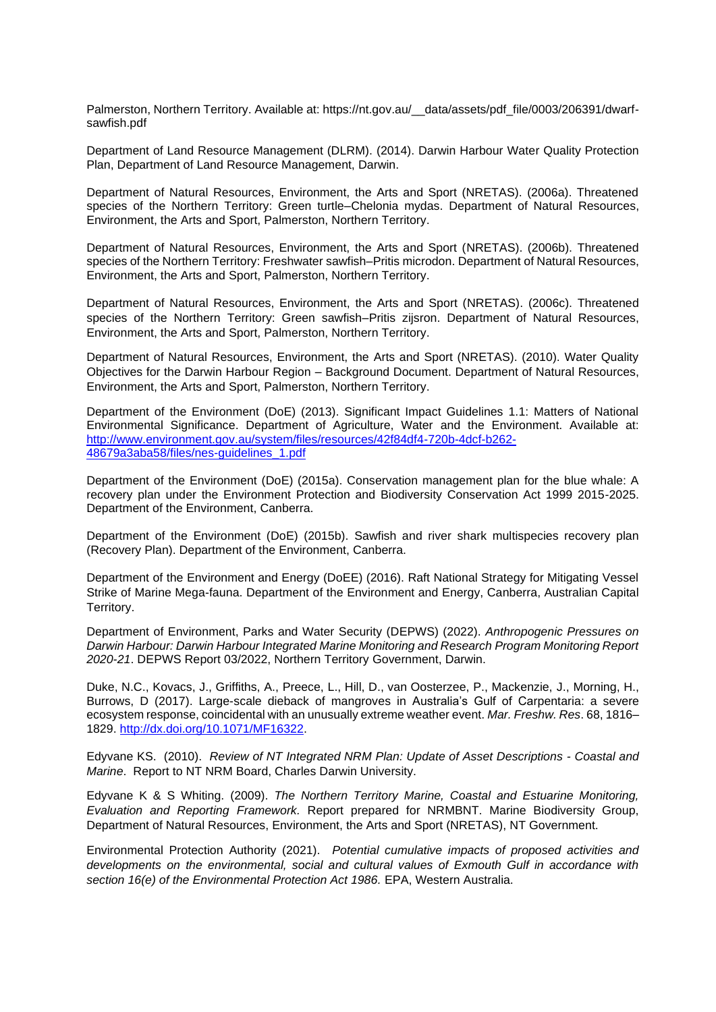Palmerston, Northern Territory. Available at: https://nt.gov.au/\_\_data/assets/pdf\_file/0003/206391/dwarfsawfish.pdf

Department of Land Resource Management (DLRM). (2014). Darwin Harbour Water Quality Protection Plan, Department of Land Resource Management, Darwin.

Department of Natural Resources, Environment, the Arts and Sport (NRETAS). (2006a). Threatened species of the Northern Territory: Green turtle–Chelonia mydas. Department of Natural Resources, Environment, the Arts and Sport, Palmerston, Northern Territory.

Department of Natural Resources, Environment, the Arts and Sport (NRETAS). (2006b). Threatened species of the Northern Territory: Freshwater sawfish–Pritis microdon. Department of Natural Resources, Environment, the Arts and Sport, Palmerston, Northern Territory.

Department of Natural Resources, Environment, the Arts and Sport (NRETAS). (2006c). Threatened species of the Northern Territory: Green sawfish–Pritis zijsron. Department of Natural Resources, Environment, the Arts and Sport, Palmerston, Northern Territory.

Department of Natural Resources, Environment, the Arts and Sport (NRETAS). (2010). Water Quality Objectives for the Darwin Harbour Region – Background Document. Department of Natural Resources, Environment, the Arts and Sport, Palmerston, Northern Territory.

Department of the Environment (DoE) (2013). Significant Impact Guidelines 1.1: Matters of National Environmental Significance. Department of Agriculture, Water and the Environment. Available at: [http://www.environment.gov.au/system/files/resources/42f84df4-720b-4dcf-b262-](http://www.environment.gov.au/system/files/resources/42f84df4-720b-4dcf-b262-48679a3aba58/files/nes-guidelines_1.pdf) [48679a3aba58/files/nes-guidelines\\_1.pdf](http://www.environment.gov.au/system/files/resources/42f84df4-720b-4dcf-b262-48679a3aba58/files/nes-guidelines_1.pdf)

Department of the Environment (DoE) (2015a). Conservation management plan for the blue whale: A recovery plan under the Environment Protection and Biodiversity Conservation Act 1999 2015-2025. Department of the Environment, Canberra.

Department of the Environment (DoE) (2015b). Sawfish and river shark multispecies recovery plan (Recovery Plan). Department of the Environment, Canberra.

Department of the Environment and Energy (DoEE) (2016). Raft National Strategy for Mitigating Vessel Strike of Marine Mega-fauna. Department of the Environment and Energy, Canberra, Australian Capital Territory.

Department of Environment, Parks and Water Security (DEPWS) (2022). *Anthropogenic Pressures on Darwin Harbour: Darwin Harbour Integrated Marine Monitoring and Research Program Monitoring Report 2020-21*. DEPWS Report 03/2022, Northern Territory Government, Darwin.

Duke, N.C., Kovacs, J., Griffiths, A., Preece, L., Hill, D., van Oosterzee, P., Mackenzie, J., Morning, H., Burrows, D (2017). Large-scale dieback of mangroves in Australia's Gulf of Carpentaria: a severe ecosystem response, coincidental with an unusually extreme weather event. *Mar. Freshw. Res*. 68, 1816– 1829. [http://dx.doi.org/10.1071/MF16322.](http://dx.doi.org/10.1071/MF16322)

Edyvane KS. (2010). *Review of NT Integrated NRM Plan: Update of Asset Descriptions - Coastal and Marine*. Report to NT NRM Board, Charles Darwin University.

Edyvane K & S Whiting. (2009). *The Northern Territory Marine, Coastal and Estuarine Monitoring, Evaluation and Reporting Framework.* Report prepared for NRMBNT. Marine Biodiversity Group, Department of Natural Resources, Environment, the Arts and Sport (NRETAS), NT Government.

Environmental Protection Authority (2021). *Potential cumulative impacts of proposed activities and developments on the environmental, social and cultural values of Exmouth Gulf in accordance with*  section 16(e) of the Environmental Protection Act 1986. EPA, Western Australia.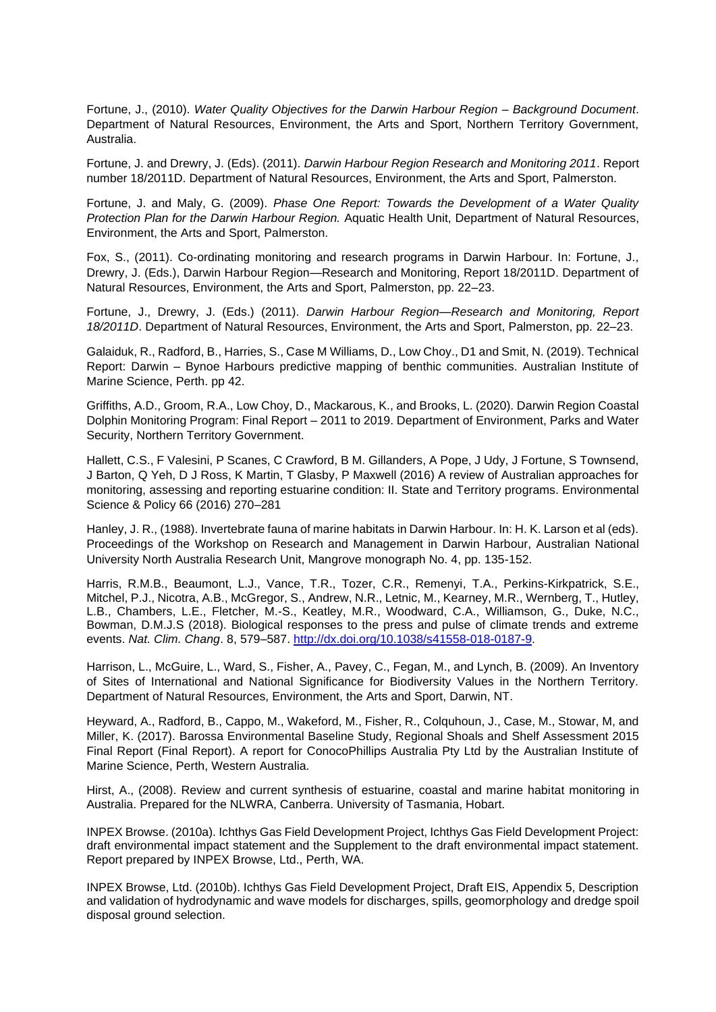Fortune, J., (2010). *Water Quality Objectives for the Darwin Harbour Region – Background Document*. Department of Natural Resources, Environment, the Arts and Sport, Northern Territory Government, Australia.

Fortune, J. and Drewry, J. (Eds). (2011). *Darwin Harbour Region Research and Monitoring 2011*. Report number 18/2011D. Department of Natural Resources, Environment, the Arts and Sport, Palmerston.

Fortune, J. and Maly, G. (2009). *Phase One Report: Towards the Development of a Water Quality Protection Plan for the Darwin Harbour Region.* Aquatic Health Unit, Department of Natural Resources, Environment, the Arts and Sport, Palmerston.

Fox, S., (2011). Co-ordinating monitoring and research programs in Darwin Harbour. In: Fortune, J., Drewry, J. (Eds.), Darwin Harbour Region—Research and Monitoring, Report 18/2011D. Department of Natural Resources, Environment, the Arts and Sport, Palmerston, pp. 22–23.

Fortune, J., Drewry, J. (Eds.) (2011). *Darwin Harbour Region—Research and Monitoring, Report 18/2011D*. Department of Natural Resources, Environment, the Arts and Sport, Palmerston, pp. 22–23.

Galaiduk, R., Radford, B., Harries, S., Case M Williams, D., Low Choy., D1 and Smit, N. (2019). Technical Report: Darwin – Bynoe Harbours predictive mapping of benthic communities. Australian Institute of Marine Science, Perth. pp 42.

Griffiths, A.D., Groom, R.A., Low Choy, D., Mackarous, K., and Brooks, L. (2020). Darwin Region Coastal Dolphin Monitoring Program: Final Report – 2011 to 2019. Department of Environment, Parks and Water Security, Northern Territory Government.

Hallett, C.S., F Valesini, P Scanes, C Crawford, B M. Gillanders, A Pope, J Udy, J Fortune, S Townsend, J Barton, Q Yeh, D J Ross, K Martin, T Glasby, P Maxwell (2016) A review of Australian approaches for monitoring, assessing and reporting estuarine condition: II. State and Territory programs. Environmental Science & Policy 66 (2016) 270–281

Hanley, J. R., (1988). Invertebrate fauna of marine habitats in Darwin Harbour. In: H. K. Larson et al (eds). Proceedings of the Workshop on Research and Management in Darwin Harbour, Australian National University North Australia Research Unit, Mangrove monograph No. 4, pp. 135-152.

Harris, R.M.B., Beaumont, L.J., Vance, T.R., Tozer, C.R., Remenyi, T.A., Perkins-Kirkpatrick, S.E., Mitchel, P.J., Nicotra, A.B., McGregor, S., Andrew, N.R., Letnic, M., Kearney, M.R., Wernberg, T., Hutley, L.B., Chambers, L.E., Fletcher, M.-S., Keatley, M.R., Woodward, C.A., Williamson, G., Duke, N.C., Bowman, D.M.J.S (2018). Biological responses to the press and pulse of climate trends and extreme events. *Nat. Clim. Chang*. 8, 579–587. [http://dx.doi.org/10.1038/s41558-018-0187-9.](http://dx.doi.org/10.1038/s41558-018-0187-9)

Harrison, L., McGuire, L., Ward, S., Fisher, A., Pavey, C., Fegan, M., and Lynch, B. (2009). An Inventory of Sites of International and National Significance for Biodiversity Values in the Northern Territory. Department of Natural Resources, Environment, the Arts and Sport, Darwin, NT.

Heyward, A., Radford, B., Cappo, M., Wakeford, M., Fisher, R., Colquhoun, J., Case, M., Stowar, M, and Miller, K. (2017). Barossa Environmental Baseline Study, Regional Shoals and Shelf Assessment 2015 Final Report (Final Report). A report for ConocoPhillips Australia Pty Ltd by the Australian Institute of Marine Science, Perth, Western Australia.

Hirst, A., (2008). Review and current synthesis of estuarine, coastal and marine habitat monitoring in Australia. Prepared for the NLWRA, Canberra. University of Tasmania, Hobart.

INPEX Browse. (2010a). Ichthys Gas Field Development Project, Ichthys Gas Field Development Project: draft environmental impact statement and the Supplement to the draft environmental impact statement. Report prepared by INPEX Browse, Ltd., Perth, WA.

INPEX Browse, Ltd. (2010b). Ichthys Gas Field Development Project, Draft EIS, Appendix 5, Description and validation of hydrodynamic and wave models for discharges, spills, geomorphology and dredge spoil disposal ground selection.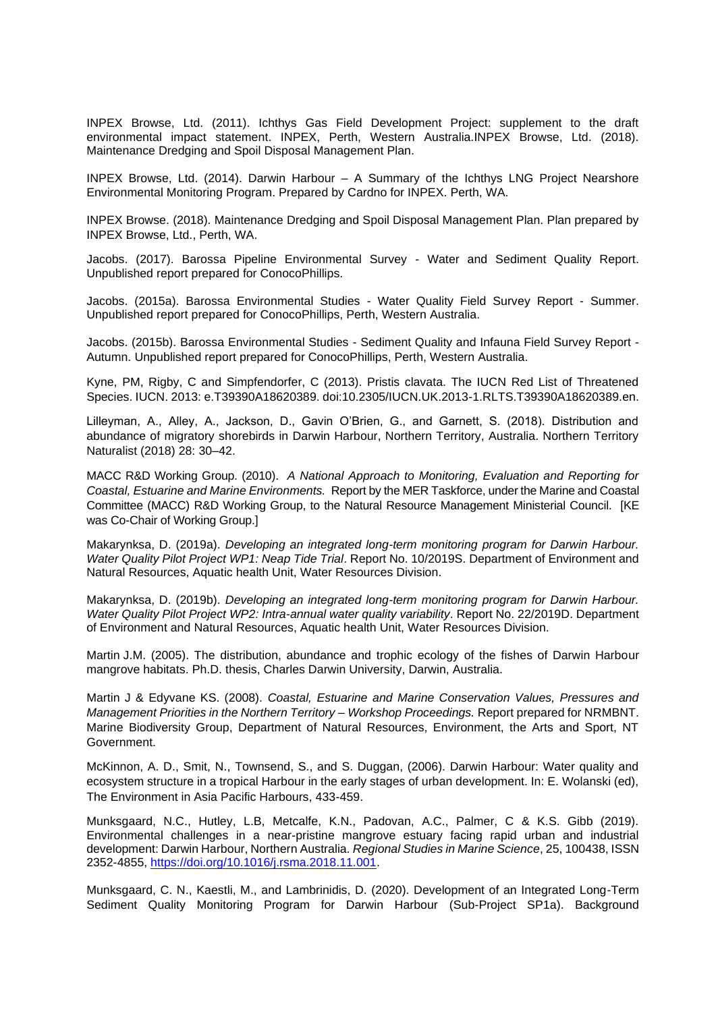INPEX Browse, Ltd. (2011). Ichthys Gas Field Development Project: supplement to the draft environmental impact statement. INPEX, Perth, Western Australia.INPEX Browse, Ltd. (2018). Maintenance Dredging and Spoil Disposal Management Plan.

INPEX Browse, Ltd. (2014). Darwin Harbour – A Summary of the Ichthys LNG Project Nearshore Environmental Monitoring Program. Prepared by Cardno for INPEX. Perth, WA.

INPEX Browse. (2018). Maintenance Dredging and Spoil Disposal Management Plan. Plan prepared by INPEX Browse, Ltd., Perth, WA.

Jacobs. (2017). Barossa Pipeline Environmental Survey - Water and Sediment Quality Report. Unpublished report prepared for ConocoPhillips.

Jacobs. (2015a). Barossa Environmental Studies - Water Quality Field Survey Report - Summer. Unpublished report prepared for ConocoPhillips, Perth, Western Australia.

Jacobs. (2015b). Barossa Environmental Studies - Sediment Quality and Infauna Field Survey Report - Autumn. Unpublished report prepared for ConocoPhillips, Perth, Western Australia.

Kyne, PM, Rigby, C and Simpfendorfer, C (2013). Pristis clavata. The IUCN Red List of Threatened Species. IUCN. 2013: e.T39390A18620389. doi:10.2305/IUCN.UK.2013-1.RLTS.T39390A18620389.en.

Lilleyman, A., Alley, A., Jackson, D., Gavin O'Brien, G., and Garnett, S. (2018). Distribution and abundance of migratory shorebirds in Darwin Harbour, Northern Territory, Australia. Northern Territory Naturalist (2018) 28: 30–42.

MACC R&D Working Group. (2010). *A National Approach to Monitoring, Evaluation and Reporting for Coastal, Estuarine and Marine Environments.* Report by the MER Taskforce, under the Marine and Coastal Committee (MACC) R&D Working Group, to the Natural Resource Management Ministerial Council. [KE was Co-Chair of Working Group.]

Makarynksa, D. (2019a). *Developing an integrated long-term monitoring program for Darwin Harbour. Water Quality Pilot Project WP1: Neap Tide Trial*. Report No. 10/2019S. Department of Environment and Natural Resources, Aquatic health Unit, Water Resources Division.

Makarynksa, D. (2019b). *Developing an integrated long-term monitoring program for Darwin Harbour. Water Quality Pilot Project WP2: Intra-annual water quality variability*. Report No. 22/2019D. Department of Environment and Natural Resources, Aquatic health Unit, Water Resources Division.

Martin J.M. (2005). The distribution, abundance and trophic ecology of the fishes of Darwin Harbour mangrove habitats. Ph.D. thesis, Charles Darwin University, Darwin, Australia.

Martin J & Edyvane KS. (2008). *Coastal, Estuarine and Marine Conservation Values, Pressures and Management Priorities in the Northern Territory – Workshop Proceedings.* Report prepared for NRMBNT. Marine Biodiversity Group, Department of Natural Resources, Environment, the Arts and Sport, NT Government.

McKinnon, A. D., Smit, N., Townsend, S., and S. Duggan, (2006). Darwin Harbour: Water quality and ecosystem structure in a tropical Harbour in the early stages of urban development. In: E. Wolanski (ed), The Environment in Asia Pacific Harbours, 433-459.

Munksgaard, N.C., Hutley, L.B, Metcalfe, K.N., Padovan, A.C., Palmer, C & K.S. Gibb (2019). Environmental challenges in a near-pristine mangrove estuary facing rapid urban and industrial development: Darwin Harbour, Northern Australia. *Regional Studies in Marine Science*, 25, 100438, ISSN 2352-4855, [https://doi.org/10.1016/j.rsma.2018.11.001.](https://doi.org/10.1016/j.rsma.2018.11.001)

Munksgaard, C. N., Kaestli, M., and Lambrinidis, D. (2020). Development of an Integrated Long-Term Sediment Quality Monitoring Program for Darwin Harbour (Sub-Project SP1a). Background